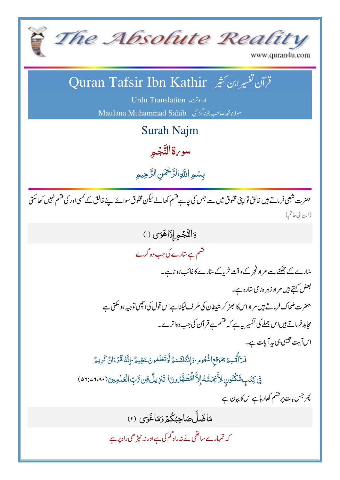

www.quran4u.com

#### ن تفسیرابن کشیر Quran Tafsir Ibn Kathir  $\overline{\phantom{a}}$ قرآن نفسيرابن كثير

Urdu Translation 2  $\mathbf{r}$ 

مولانامجمەصاحب جوناگڑھی Maulana Muhammad Sahib

Surah Najm

سو <sub>v</sub>قالٿَجُمِ ْ ڹ

بِسُمِ اللَّهِ الرَّحْمَنِ الرَّحِيمِ رّ<br>ر رّ<br>( ڵ<br>ا نہ<br>ما

حضرت شعبی فرماتے ہیں خالق توا پنی مخلوق میں سے جس کی جاہے قسم کھالے کیلن مخلوق سوائےاپنے خالق کے کسی اور کی قسم نہیں کھاسکتی ׇׅ֞֘֝֬֝֬ (ابن الی حاتم)

> دَالنَّجْمِ إِذَاهَوَى (ا) ْ ڹ فشم ہے سارے کی جب وہ گرے

> > بي ہو ناہے۔ G یاکے ستارے کاغائب L ثر  $\ddot{\cdot}$ سارے کے جھٹنے سے مراد فجر کے وقت ثریاکے سارے کاغائب ہو ناہے۔ بعض <sub>کہتے</sub> ہیں مراد زہر ہ نامی سارہ ہے۔

حضرت ضحاك فرماتے ہيں مراداس كا حجٹر كر شيطان كى طرف ليكناہےاس قول كى احچى توجيه ہوسكتى ہے ` l, مجاہد فرماتے ہیں اس جملے کی تفسیر رہے ہے کہ قسم ہے قر آن کی جب وہاترے۔<br>مجاہد فرماتے ہیں اس جملے کی تفسیر رہے ہے کہ قسم ہے قر آن کی جب وہاترے۔ .<br>.. آن کی جب وہاتر  $\ddot{\ }$ قرآن کی جب وہاترے۔ اس آیت جیسی ہی پہ آیات ہے۔

فَلاَأُتُسِمُ تِمَوَقعِ النُّجُومِ-وَإِنَّهُ لَقَسَمٌّ لَّوَتَعَلَّمُونَ عَظِيمٌ -إِنَّهُ لَقَّرُّءَانٌ كَرِيمٌ **ُ** ڐ **أ** أ ∕<br>∕ ْ ت <u>َ</u> ֧֧֧֧֧֧֧֧֧֧֧֧֧֧֧֧֓֓֓֓֓֓֝֬֓֓֝֬֜֓֜**֓** ل ل <u>ا</u> ٞ ز<br>ا ل **غ** ٞ

فِي كِتَبٍ مَّكْنُونٍ لِأَّبَمَسُّهُ إِلاَّاأَمُظَهَّرُونَ أتَنزِيلٌ مِّن رَّبِ الْعَلَمِينَ(٢،٨٠٤:٥٦١) نَ<br>الم م ز<br>لا  $\ddot{\mathcal{E}}$ </sup> **غا** <u>ū</u> ֖֖֧֚֞֟֓֕֬֓֟֬֟֓֬֓֬֓<u>֓</u> <sup>7</sup> ة ت

پھر جس بات پر قسم کھار ہاہےاس کا بی<u>ان ہ</u>ے

مَاضَلَّ صَاحِبُكْمُروَمَاغَوَى (٢)<br>\* ر<br>گر  $\ddot{\cdot}$ 

کہ تمہمارے ساتھی نے نہ راہ گم کی ہے اور نہ ٹیڑ ھی راہ پر ہے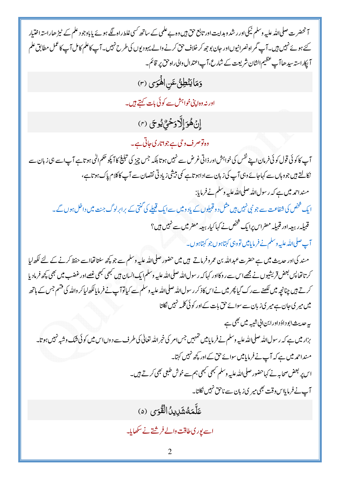آنحضرت صلی اللہ علیہ وسلم نیکی اور رشد و ہدایت اور تابع حق ہیں وہ بے علمی کے ساتھ کسی غلط راہ لگے ہوئے یا باوجو د علم کے ٹیڑ ھاراستہ اختیار کئے ہوئے نہیں ہیں۔آپ گمر اہ نصرانیوںاور حان بوجھ کر خلاف حق کرنے والے یہود بوں کی طرح نہیں۔آپ کاعلم کامل آپ کاعمل مطابق علم آپکاراستہ سیدھاآپ عظیم الشان شریعت کے شارع، آپاعتدال والی راہ حق پر قائم۔ وَمَايَنْطِقُ عَنِ الْهَوَى (٣) اور نہ دہ ای<sup>تی خ</sup>واہش سے کو ئی بات کہتے ہیں۔ إِنْ هُوَ إِلَّا وَحُيُّ يُوحَى (٣) وہ توصرف وی ہے جواتاری جاتی ہے۔ آپ کا کوئی قول کوئی فرمان اپنے نفس کی خواہش اور ذاتی غرض سے نہیں ہو تابلکہ جس چیز کی تبلیغ کا آ پکو حکم اللی ہو تاہے آپ اسے ہی زبان سے نکالتے ہیں جو وہاں سے کہاجائے وہی آپ کی زبان سے اداہو تاہے کمی بیشی زیاد تی نقصان سے آپ کاکلام پاک ہو تاہے، مسنداحمہ میں ہے کہ رسول اللہ صلی اللہ علیہ وسلم نے فرمایا: ایک شخص کی شفاعت سے جو نبی نہیں ہیں مثل د و قبیلوں کے باد ومیں سےایک قبیلے کی گنتی کے پرابرلوگ جن**ت می**ں داخل ہوں گے۔ قبیلہ ربیعہ اور قبیلہ مصراس پرایک شخص نے کہاکیار بیعہ مصر میں سے نہیں ہیں؟ آپ صلی للڈ علیہ وسلم نے فرمایا میں تووہی کہتاہوں جو کہتاہوں۔ مند کی اور حدیث میں ہے حضرت عبداللہ بن عمروفرماتے ہیں میں حضور صلی اللہ علیہ وسلم سے جو کچھ سنتا تھااسے حفظ کرنے کے لئے لکھ لبا کرتاتھا پس بعض قریشیوں نے مجھے اس سے روکااور کہا کہ رسول اللہ صلی اللہ علیہ وسلم ایک انسان ہیں جھی کبھی نمصے اور غضب میں بھی کچھ فرمادیا کرتے ہیں چنانچہ میں لکھنے سے رک گیا پھر میں نےاس کاذ کر رسول اللہ صلی اللہ علیہ وسلم سے کیاتوآپ نے فرما پالکھ لیا کر واللہ کی قسم جس کے ہاتھ میں میر ی جان ہے میر ی زبان سے سوائے حق بات کے اور کوئی کلمہ نہیں نکلتا ہہ حدیث ابود اؤداورابن اپی شیبہ میں بھی ہے بزار میں ہے کہ رسول اللہ صلی اللہ علیہ وسلم نے فرمایا میں تہمیں جس امر کی خبر اللہ تعالٰی کی طرف سے دوں اس میں کوئی شک وشبہ نہیں ہو تا۔ مسنداحمہ میں ہے کہ آپ نے فرمایامیں سوائے حق کے اور کچھ نہیں کہتا۔ اس پر بعض صحابہ نے کہاحضور صلی للڈ علیہ وسلم نہیں نہیں ہم سے خوش طبعی بھی کرتے ہیں۔ آب نے فرمایااس وقت بھی میر ی زبان سے ناحق نہیں نکلتا۔ عَلَّمَهُشَدِينُ|لَقُوَى (٥) <u>اسے یوری طاقت والے فرشتے نے سکھایا۔</u>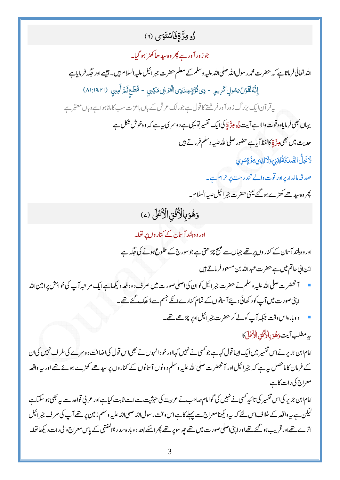### دُومِرَّةِفَاسْتَوَى (٢)

جوز ورآ درہے پھر وہ سیدھاکھڑ اہو گیا۔ اللہ تعالیٰ فرماتاہے کہ حضرت محمد رسول اللہ صلی اللہ علیہ وسلم کے معلم حضرت جبر ائیل علیہ السلام ہیں۔ جیسے اور حکمہ فرمایاہے إِنَّهُ لَقَوْلُ مَسْوِلِ كَرِيمٍ - ذِى قُوَّةٍ عِندَذِى الْعَرْشِ مَكِينٍ - مُّطَحِثَمَّ أَمِينِ (١٩،٢١:١٩) پیرقرآن ایک بزرگ زورآور فرشتے کا قول ہے جومالک عرش کے ہاں باعزت سب کاماناہواہے وہاں معتبر ہے یہاں بھی فرمایادہ قوت والا ہے آیت ڈُو عِدَّ قِا کیا ایک تفسیر تو یہی ہے د وسر کی ہے کہ وہ خوش شکل ہے حديث ميں بھي ہِدَّ ةِ كالفظاً باہے حضور صلى اللہ عليہ وسلم فرماتے ہيں لَاتَحِلُّ الصَّدَقَةُ لِغَنِي وَلَالِذِي مِرَّةٍ سَوِي صدقہ مالداریراور قوت والے تندرست پر حرام ہے۔ پھر وہ سیدھے کھڑے ہو گئے یعنی حضرت جبر ائیل علیہ السلام۔ وَهُوَبِالْأُنُّقِ الْأَعْلَى (2) اور وہ ہلند آسان کے کنار وں پر تھا۔ اور وہ ہلند آسان کے کنار وں پر تھے جہاں سے صبح چڑ ھتی ہے جو سورج کے طلوع ہونے کی جگہ ہے ابن الی حاتم میں ہے حضرت عبد الله بن مسعود فرماتے ہیں آ خصرت صلى <sub>ال</sub>ل<sub>ّد عليه وسلم نے حضرت جبرائيل کوان کی اصلی صورت میں صرف د ود فعہ ديکھا ہے ايک مرتبہ آپ کی خواہش پرامين <sub>اللّٰہ</sub></sub> اپنی صورت میں آپ کود کھائی دیئے آسانوں کے تمام کنارےانکے جسم سے ڈھک گئے تھے۔ دوبارہاس وقت جبکہ آپ کولے کر حضرت جبر ائیل اوپر چڑھے تھے۔ به مطلب آيت دَهُوَ بِالْأُفُقِ الْأَعْلَى كَا امام ابن جریر نےاس تفسیر میں ایک ایسا قول کہاہے جو کسی نے نہیں کہااور خود انہوں نے بھی اس قول کی اضافت دوسرے کی طرف نہیں کی ان کے فرمان کا ماحصل ہیرہے کہ جبرائیل اور آنحضرت صلی اللہ علیہ وسلم دونوں آسانوں کے کناروں پر سیدھے کھڑے ہوئے تھے اور بیر واقعہ معراج کی رات کاہے امام ابن جریر کیاس تفسیر کی تائید کسی نے نہیں کی گوامام صاحب نے عربیت کی حیثیت سےاسے ثابت کیاہےاور عربی قواعد سے بیر بھی ہو سکتاہے لیکن ہے ہہ واقعہ کے خلاف اس لئے کہ یہ دیکھنامعراج سے پہلے کا ہے اس وقت رسول اللہ صلی اللہ علیہ وسلم زمین پر تھے آپ کی طرف جمرائیل اترے تھےاور قریب ہو گئے تھےاورا پنی اصلی صورت **میں ت**ھے چ*ھ سوپر نتھ پھر اسکے* بعد د وبارہ سدر ۃاکمنتہی کے پاس معراج والی رات دیکھا تھا۔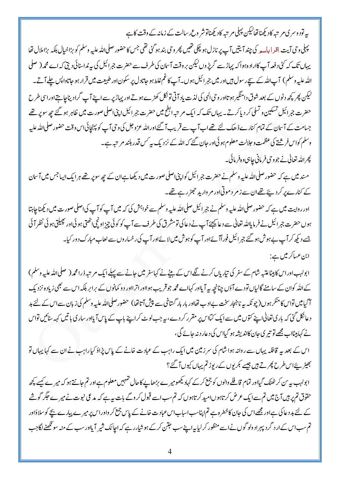پے تودوسر ی مر تبہ کادیکھناتھالیکن پہلی مر تبہ کادیکھناتوشر وع رسالت کے زمانہ کے وقت کا ہے

پہلی وحی آیت اقد ابامہ پر کی چند آیتیں آپ پر نازل ہو چکی تھیں پھر وحی بند ہو گئی تھی جس کاحضور صلی اللہ عليه وسلم کو بڑاخیال بلکہ بڑاملال تھا یہاں تک کہ کٹی دفعہ آپ کاارادہ ہواکہ پہاڑسے گریڑوں لیکن بروقت آسان کی طرف سے حضرت جبرائیل کی بیہ نداسنائی دیتی کہ اے محمہ ( صلى اللہ علیہ وسلم ) آپ اللہ کے سیچر سول ہیں اور میں ج<sub>ر</sub>ائیل ہوں۔ آپ کاغم غلط ہو جاتادل پر سکون اور طبیعت میں قرار ہو جاتاوا <sup>پ</sup>س چلے آتے۔ لیکن پھر کچھ دنوں کے بعد شوق دامنگیر ہوتااور وحی الٰہی کی لذت یاد آتی تونکل کھڑے ہوتےاور یہاڑیر سے اپنے آپ گراد پناجا بتے اور اسی طرح حضرت جبرائیل تسکین و تسلی کر دیاکرتے۔ یہاں تک کہ ایک مر تبہ ابلح میں حضرت جبرائیل اپنی اصلی صورت میں ظاہر ہو گئے جھ سوپر تھے جسامت کے آسان کے تمام کنارے ڈھک لئے تھےاب آپ سے قریب آگئےاوراللہ عزوجل کی وحی آپ کو پہنچائی اس وقت حضور صلى الله عليه وسلم کواس فرشتے کی عظمت وحلالت معلوم ہو ئی اور حان گئے کہ اللہ کے نزد یک بیہ کس قدر بلند مرتبہ ہے۔ پھراللہ تعالیٰ نے جووحی فرمانی جاہی وہ فرمائی۔

مسند میں ہے کہ حضور صلی اللہ علیہ وسلم نے حضرت جبرائیل کواپنی اصلی صورت میں دیکھا ہےان کے چھ سوپر تھے ہرایک ایساجس میں آسان کے کنارے پر کر دیئے تھےان سے ز مر د موتی اور مر وارید حجمڑ رہے تھے۔

اور روایت میں ہے کہ حضور صلی اللہ علیہ وسلم نے جبرائیل صلی اللہ علیہ وسلم سے خواہش کی کہ میں آپ کو آپ کی اصلی صورت میں دیکھناجاہتا ہوں حضرت جمرائیل نے فرمایلاللہ تعالی سے د عائیجئے آپ نے دعا کی تومشر ق کی طرف سے آپ کو کوئی چیز او نچی بھی گی اور پھیلتی ہو ئی نظر آ ئی جسے دیکھ کر آپ بے ہوش ہو گئے جبر ائیل فوراً آئےاور آپ کوہوش میں لائےاور آپ کی رخسار وں سے لعاب مبارک د ور کیا۔ ابن عساکر میں ہے :

ابولہبادراس کابیٹاعتبہ شام کے سفر کی تیار پاں کرنے لگےاس کے بیٹے نے کہاسفر میں جانے سے پہلےایک مر تبہ ذرامحمر( صلىالله عليه وسلم ) کےاللہ کوان کے سامنے گالیاں تودے آؤں چنانچہ ہہ آیااور کہااے محمہ جو قریب ہوااور اترااور دو کمانوں کے برابر بلکہ اس سے بھی زیاد ہ نزد یک آ گیامیں تواس کا منکر ہوں(چو نکہ بیرنانجارسخت بےادب تھااور بار بار گساخی سے پیش آتا تھا) حضور صلی الله علبيه وسلم کی زبان سےاس کے لئے بد دعانکل گئی کہ باری تعالٰی اپنے کتوں میں سے ایک کمااس پر مقرر کر دے، یہ جب لوٹ کر اپنے باپ کے پاس آ یااور ساری باتیں کہہ سنائیں تواس نے کہابیٹااب مجھے تو تیر ی جان کااندیشہ ہو گیااس کی د عار دنہ جائے گی،

اس کے بعد سے قافلہ یہاں سے روانہ ہوا شام کی سرزمین میں ایک راہب کے عبادت خانے کے پاس پڑاؤ کیاراہب نے ان سے کہا یہاں تو بھیڑ پئےاس طرح پھرتے ہیں جیسے کمریوں کے رپوڑ تم یہاں کیوں آ گئے؟

ابولہب ہیہ سن کر ٹھٹک گیااور تمام قافلے والوں کو جمع کرکے کہاد یکھومیرے بڑھاپے کاحال تہہیں معلوم ہےاور تم جانتے ہو کہ میرے کیسے پچھ حقوق تم پر ہیں آج میں تم سے ایک عرض کر تاہوںامید کر تاہوں کہ تم سب اسے قبول کروگے بات ہے ہے کہ مدعی نبوت نے میرے حکمر گوشے کے لئے بد دعا کی ہےاور مجھےاس کی جان کاخطرہ ہے تم اپناسب اساب اس عبادت خانے کے پاس جمع کر واور اس پر میرے پیارے بچے کو سلاؤاور تم سب اس کے ار د گرد پہراد ولو گوں نے اسے منظور کر لیاہے اپنے سب جتن کر کے ہو شیار رہے کہ اجانک شیر آ یااور سب کے منہ سو نکھنے لگاجب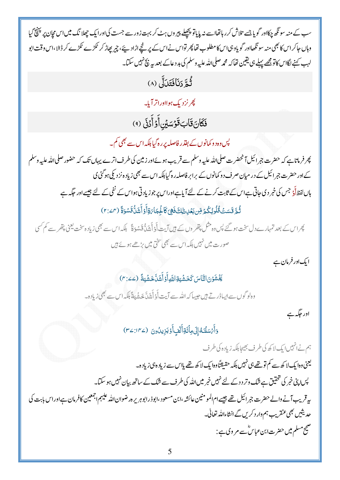سب کے منہ سونگھ چکااور گویاجسے تلاش کرر ہاتھااسے نہ پایاتو پچھلے پیروں ہٹ کر بہت زور سے جست کیااورا یک چھلا نگ میںاس مچان پر پہنچ گیا وہاں حاکراس کا بھی منہ سو نگھااور گو باوہیااس کامطلوب تھا پھر تواس نے اس کے پر نتھےاڑاد سے، چر بھاڑ کر ٹکڑے کلڑے کر ڈالا،اس وقت ابو لہب کہنے لگاس کاتو مجھے پہلے ہی یقین تھا کہ محمہ صلی اللہ علیہ وسلم کی بد د عاکے بعد بیہ نیچ نہیں سکتا۔

ثُمَّ دَنَافَتَدَلِّ (٨)

*پھر نزدیک ہو*ااوراترآیا۔

فَكَانَ قَابَ قَوْسَيْنِ أَوۡ أَدۡنَى (٩)

<sup>لپ</sup>س وہ د و کمانوں کے بفترر فاصلہ پر رہ گیابلکہ اس سے بھی کم۔

پھر فرماناہے کہ حضرت جمرائیل آنحضرت صلی اللہ علیہ وسلم سے قریب ہوئےاور زمین کی طرف اترے یہاں تک کہ حضور صلى الله علیه وسلم کےاور حضر ت جبر ائیل کے در میان صرف د و کمانوں کے برابر فاصلہ رہ گیا ہلکہ اس سے بھی زیاد ہ نزد کی ہوگئی ی ہاں لفظاًوْ جس کی خبر دی جاتی ہےاس کے ثابت کرنے کے لئے آیاہےاوراس پر جو زیادتی ہواس کے نفی کے لئے جیسے اور حکمہ ہے ثُمَّ قَسَتْ قُلُوبُكُمْ قِن بَعْدِدِلِكَ فَهِيَ كَالْجَبَارَةِ أَوْ أَشَلّْ قَسْوَةً (٣:٤٢)

پھراس کے بعد تمہارے دل سخت ہو گئے پس وہ مثل پتھر وں کے ہیں آیت أَوْ أَهْدَلّْ قَسْوَةً لِلکہ اس سے بھی زیادہ سخت یعنی پتھر سے کم کسی صورت میں نہیں بلکہ اس سے بھی شختی میں بڑھے ہوئے ہیں

ایک اور فرمان ہے

يَّخْشَوْنَ النَّاسَ كَخَشْبَةِ اللَّهَ أَوْ أَشَلَّخَشُبَةً (ے2: r)

وہلوگوں سےابساڈرتے ہیں جیسا کہ اللہ سے آیت أَوْ أَہْدَلَّ خَيفُہَةً بِلَكہ اس سے بھی زیادہ۔

اور جگہ ہے

وَأَمْسَلْنَهُ إِلَى مِأْثَةِ أَلْفٍ أَوْيَزِيدُونَ (٣٤:١٣٤)

ہم نےانہیں ایک لا کھ کی طرف بھیجا بلکہ زیادہ کی طرف لیعنی وہا یک لا کھ سے کم تو تھے ہی نہیں بلکہ حقیقتاً وہا یک لا کھ تھے پااس سے زیاد ہی زیاد ہے۔ پس اپنی خبر کی تحقیق ہے شک وتر د دے لئے نہیں خبر میں اللہ کی طرف سے شک کے ساتھ بیان نہیں ہو سکتا۔ بیہ قریب آنے والے حضرت ج<sub>بر ا</sub>ئیل تھے جیسے ام المو منین عائشہ ،ابن مسعود ،ابوذرابوہریرہ رضوان اللہ علیہم اجمعین کافرمان ہے اوراس بابت کی حدیثیں بھی عنقریب ہم وار دکریں گے انشاءاللہ تعالی۔ صحیح مسلم میں حضرت ابن عباس ؓ سے مر وی ہے :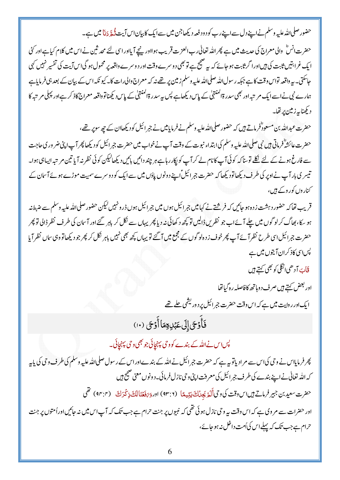حضور صلىالله عليه وسلم نے اپنے دل سے اپنے رب کود ود فعہ ديکھاجن ميں سے ايک کابيان اس آيت ڏُڪرَ دَنَا ميں ہے۔

حضرت انسؓ والی معراج کی حدیث میں ہے پھر اللہ تعالٰی رب العزت قریب ہوااور پنچے آپااور اسی لئے محد ثبین نے اس میں کلام کیاہےاور کئی ایک غرابتیں ثابت کی ہیںاورا گرثابت ہو جائے کہ یہ صحیح ہے تو بھی دوسرے وقت اور دوسرے واقعہ پر محمول ہو گیااس آیت کی تفسیر نہیں کہی حاسکتی۔ یہ واقعہ تواس وقت کاہے جبکہ رسولﷲ معلیاللہ علیہ وسلم زمین پر تھے نہ کہ معراج والی رات کا۔ کیو نکہ اس کے بیان کے بعد ہی فرمایاہے ہمارے نبی نےاسے ایک مرتبہ اور بھی سدر ۃاکمنتہیٰ کے پاس دیکھاہے پس یہ سدر ۃاکمنتہیٰ کے پاس دیکھناتو واقعہ معراج کاذ کرہےاور پہلی مرتبہ کا دیکھناپہ زمین پر تھا۔

حضرت عبداللہ بن مسعودٌفرماتے ہیں کہ حضور صلی اللہ علیہ وسلم نے فرمایامیں نے جبر ائیل کو دیکھاان کے چھ سوپر تھے، حضرت عائشہؓ فرماتی ہیں نبی صلی اللہ علیہ وسلم کیا ابتداء نبوت کے وقت آپ نے خواب میں حضرت جمرائیل کو دیکھا پھر آپ اپنی ضر وری حاجت سے فارغ ہونے کے لئے نکلے توسنا کہ کوئی آپ کا نام لے کر آپ کو پکار رہاہے ہر چند دائیں بائیں دیکھالیکن کوئی نظر نہ آیا تین مر تبہ ایساہی ہوا۔ تیسر کی بار آپ نےاوپر کی طرف دیکھاتودیکھا کہ حضرت جبرائیل ؓاپنے دونوں پاؤں میں سے ایک کو دوسرے سمیت موڑے ہوئے آسان کے کنار وں کور وکے ہیں،

قریب تھاکہ حضور دہشت زدہ ہو جائیں کہ فرشتے نے کہامیں جرائیل ہوں میں جرائیل ہوں ڈرونہیں کیکن حضور صلی اللہ علیہ وسلم سے ضبط نیر ہو سکا، بھاگ کرلوگوں میں چلے آئےاب جو نظریں ڈالیں تو کچھ د کھائی نہ دیا پھر یہاں سے نکل کر باہر گئے اور آسان کی طرف نظر ڈالی تو پھر حضرت جبرائیل اسی طرح نظرآ ئے آپ پھرخوف زدہلو گوں کے مجمع میں آ گئے تو یہاں کچھ بھی نہیں باہر نکل کر پھر جود یکھاتووہی ساں نظر آیا پس <sub>اسی کاذ</sub>کران آیتوں میں ہے

قَابَ آدھی<sub>ا</sub>نگلی کو بھی کہتے ہیں

اور بعض کہتے ہیں صرف د وہاتھ کافاصلہ رہ گیاتھا

ایک اور روایت میں ہے کہ اس وقت حضرت جمر ائیل پر دور<sup>یش</sup>ی <u>حلے تھے</u>

فَأَوْجَى إِلَى عَبْدِوِمَاأَوْجَى (١٠)

پس اس نے اللہ کے بندے کو و حی پہنچائی جو بھی و حی پہنچائی۔

پھر فرمایااس نے وحی کیاس سے مراد یاتو بیہ ہے کہ حضرت جبرائیل نےاللہ کے بندےاوراس کے رسول صلی اللہ علیہ وسلم کی طرف وحی کی پاپہ کہ اللہ تعالٰی نےاپنے بندے کی طرف جمرائیل کی معرفت اپنی و حی نازل فرمائی۔ دونوں معنی صحیح ہیں حضرت سعيد بن جبير فرماتے بين اس وقت كى وحى أَلَيْزِ يَجدُنْكَ يَدِّيهِمَا (٩٣:٢) اوروَ رَفَعْنَاللَّ ذِكْرَكَ (٩٢:٢) نَحْل اور حضرات سے مر وی ہے کہ اس وقت بیہ وحی نازل ہوئی تھی کہ نبیوں پر جنت حرام ہے جب تک کہ آپ اس میں نہ جائیںاورأمتوں پر جنت حرام ہے جب تک کہ پہلےاس کی اُمت داخل نہ ہو جائے،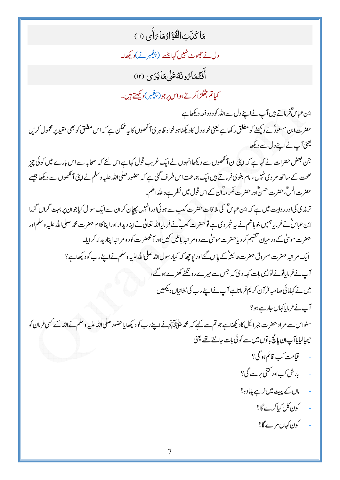مَا كَذَبَ الْفُؤَادُمَا رَأَى (١١)

دل نے حج*موٹ نہیں کہا* جسے (پی<u>غمبر نے)دیکھ</u>ا۔

أَفَتُهَارُونَهُ عَلَى مَالَّذِي (١٢)

کیاتم جھگڑاکرتے ہواس پر جو (پنجمبر)دیکھتے ہیں۔

ابن عباسٌفرماتے ہیں آپ نےاپنے دل سےاللہ کود و دفعہ دیکھاہے حضرت ابن مسعودٌّ نے دیکھنے کو مطلق رکھاہے یعنی خواہ دل کادیکھناہو خواہ ظاہر کی آنکھوں کا بیہ ممکن ہے کہ اس مطلق کو بھی مقید پر محمول کریں لینی آپ نےاپنے دل سے دیکھا

جن بعض حضرات نے کہا ہے کہ اپنی ان آنکھوں سے دیکھاانہوں نے ایک غریب قول کہاہےاس لئے کہ صحابہ سے اس بارے میں کوئی چیز صحت کے ساتھ مر وی نہیں،امام بغوی فرماتے ہیںا یک جماعت اس طرف گئی ہے کہ حضور صلی اللہ علیہ وسلم نے اپنی آنکھوں سے دیکھا جیسے حضرت انسٌّ حضرت حسینٌّاور حضرت عکر مداّن کے اس قول میں نظر ہے واللہ اعلم۔

تر مذی کی اور روایت میں ہے کہ ابن عباسؓ کی ملا قات حضرت کعب سے ہو ئی اورانہیں پیچان کران سے ایک سوال کیاجوان پر بہت گراں گزرا ابن عباسؓ نے فرمایا ہمیں بنو ہاشم نے بیہ خبر دی ہے تو حضرت کعبؓ نے فرمایاللہ تعالٰی نے اپنادیدار اور اپناکلام حضرت محمہ صلی اللہ علیہ وسلم اور حضرت موسیٰ کے در میان تقسیم کر دیاحضرت موسیٰ سے دومر تبہ باتیں کیںاور آنحضرت کود ومر تبہ اپنادیدار کرایا۔ ایک مرتبہ حضرت مسروق حضرت عائشہؓ کے پاس گئےاور یو چھاکہ کیار سول اللہ صلی اللہ علیہ وسلم نےاپنےرب کودیکھاہے؟ آپ نے فرمایاتونے تواپسی بات کہہ دی کہ جس سے میر ےرو ٹکٹے کھڑے ہو گئے، میں نے کہامائی صاحبہ قرآن کریم فرماناہے آپ نےاپنے رب کی نشانیاں دیکھیں

آپ نے فرمایا کہاں جارے ہو؟

سنواس سے مراد حضرت جبرائیل کادیکھناہے جو تم سے کہے کہ محم*د ملتحظیلام نے اپنے ر*ب کودیکھا یاحضور صلی اللہ علیہ وسلم نے اللہ کے کسی فرمان کو حیصالیا پاآ ب ان پانچ باتوں میں سے کوئی بات حانتے تھے یعنی

- قيامت كب قائم ہو گی؟
- بارش کب اور کتنی بر سے گی؟
- ماں کے پیٹ میں نرے پامادہ؟
	- کون کل کیاکرے گا؟
	- کون کہاں مرے گا؟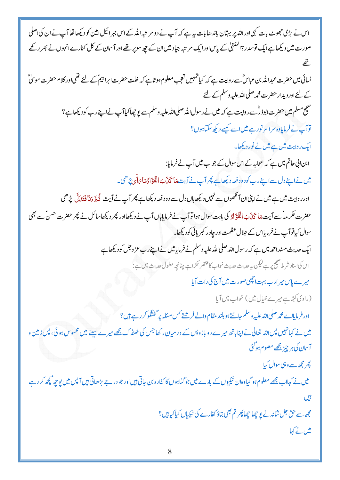| اس نے بڑی حجھوٹ بات کہی اور اللہ پر بہتان باندھا بات ہے ہے کہ آپ نے دومر تبہ اللہ کے اس جمرائیل امین کو دیکھا نفاآپ نےان کی اصلی    |
|-------------------------------------------------------------------------------------------------------------------------------------|
| صورت میں دیکھاہےایک توسدر ۃالمنتہیٰ کے پاساورایک مرتبہ جیاد میں ان کے چھ سوپر تھےاور آسان کے کل کنارےانہوں نے بھر رکھے              |
|                                                                                                                                     |
| نسائی میں حضرت عبداللہ بن عباسؓ سے روایت ہے کہ کیا تہہیں تعجب معلوم ہوتاہے کہ خلت حضرت ابراہیمؓ کے لئے تھی اور کلام حضرت موسٌّ      |
| کے لئےاور دیدار حضرت محمہ صلی اللہ علیہ وسلم کے لئے                                                                                 |
| صحیح مسلم میں حضرت ابوذرؓ سے روایت ہے کہ میں نے رسول اللہ صلی اللہ علیہ وسلم سے لیو چھاکیاآپ نے اپنے رب کودیکھاہے؟                  |
| <mark>توآپ نے فرمایادہ</mark> سراسر نور ہے میں اسے کیسے دیکھ سکتاہوں؟                                                               |
| ایک روایت میں ہے میں نے نور دیکھا۔                                                                                                  |
| ابن ابی حاتم میں ہے کہ صحابہ کے اس سوال کے جواب میں آپ نے فرمایا:                                                                   |
| میں نے اپنے دل سے اپنے رب کو دود فعہ دیکھاہے پھر آپ نے آیت پمائچ تک الفَوْٓادُ پمَا رَأَی پُر ھی۔                                   |
| اورر واپت میں ہے میں نےاپنیان آنکھوں سے نہیں دیکھاہاں دل سے دود فعہ دیکھاہے پھر آپ نے آیت ڈُچَّ دَنَافَتَدَمَلَ پڑھی                |
| حضرت عکر مہدَّے آیت مَا کَذَبَ الْفُؤَادُ کی بابت سوال ہواتوآپ نے فرمایاہاں آپ نے دیکھااور پھر دیکھاسائل نے پھر حضرت حسنَّے بھی     |
| سوال کیاتوآپ نے فرمایااس کے جلال عظمت اور چادر کبریائی کودیکھا۔                                                                     |
| ایک حدیث منداحمہ میں ہے کہ رسول <sub>اللّٰہ</sub> صلی <sub>اللّٰہ</sub> علیہ وسلم نے فرمایامیں نے اپنے رب عزوجل کو دیکھاہے          |
| اس کی اسناد شرط صحیح پر ہے کیکن یہ حدیث حدیث خواب کا مختصر <sup>عمر</sup> اہے چنانچہ مطول حدیث میں ہے:                              |
| میرے پاس میرارب بہت انھچی صورت میں آج کی رات آیا                                                                                    |
| (راوی کہتاہے میرے خیال میں) خواب میں آیا                                                                                            |
| اور فرمایااے محمہ صلی اللہ علیہ وسلم جانتے ہو بلند مقام والے فرشتے کس مسئلہ پر گفتگو کر رہے ہیں؟                                    |
| میں نے کہانہیں پس لاللہ تعالٰی نے اپنا ہاتھ میرے دو بازوؤں کے در میان رکھا جس کی ٹھنڈ ک مجھے میرے سینے میں محسوس ہو ئی، پس زمین و   |
| آسان کی ہر چیز مجھے معلوم ہو گئی                                                                                                    |
| پھر مجھ سے وہی سوال کی <u>ا</u>                                                                                                     |
| میں نے کہااب مجھے معلوم ہو گیاوہان نیکیوں کے بارے میں جو گناہوں کا کفارہ بن حاتی ہیںاور جو در جے بڑھاتی ہیں آپس میں پوچھ کچھ کر رہے |
| تيل                                                                                                                                 |
| مچھ سے حق جل شانہ نے یو چھاا چھا پھر تم بھی بتاؤ کفارے کی نیکیاں کیا کیا بیں؟                                                       |
| میں نے کہا                                                                                                                          |
|                                                                                                                                     |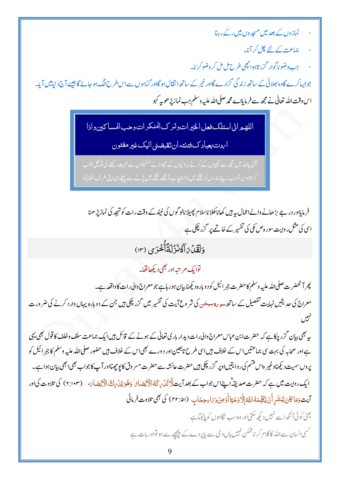- نماز وں کے بعد میں مسجد وں میں رکے رہنا
	- چماعت کے لئے چل کر آنا۔
- حب وضو ناگوار گزر تاہوا چھی طرح مل مل کر وضو کر نا۔

جوایساکرے گاوہ بھلائی کے ساتھ زندگی گزارے گااور خیر کے ساتھ انتقال ہو گااور گناہوں سےاس طرح الگ ہو جائے گا جیسے آج د نیامیں آیا۔ اس وقت الله تعالى نے مجھ سے فرمایاہے محمہ صلی اللہ علیہ وسلم جب نماز پڑ ھو بہ کہو

اللهير اني اسئلك فعل الخير ات وترك المنكر ات وحب المساكين واذا

ابردت بعباد ك فتنته ان تقبضني اليك غير مفتون

یع، پالٹد میں تجھ سے نیکیوں کے کرنے پرائیوں کے حیوڑنے مسکینوں سے محت رکھنے کی توفیق طلب کرتاہوں توجب اپنے بندوں کو فتنے میں ڈالناجاہے تو مجھے فتنے میں پڑنے سے پہلے ہی اپنی طرف اٹھالینا

فرما مااور در جے بڑھانے والےاعمال بہ ہیں کھاناکھلا ناسلام پھیلا نالو گوں کی نبیند کے وقت رات کو تہجد کی نمازیڑ ھنا اسی کی مثل روایت سورہ ص کلی کی تفسیر کے خاتمے پر گزر چکی ہے

دَلَقَلۡيَ ٓاٰ كَانَزۡكَةًأۡ كَٰٓجَدَى (١٣)

توایک م تنه اور بھی دیکھاتھا۔

پھر آنحضرت صلی\للہ علیہ وسلم کاحضرت جبرائیل کود و ہارہ دیکھنا بیان ہور ہاہے جو معراج والی رات کاواقعہ ہے۔ معراج کی حدیثیں نہایت تفصیل کے ساتھ <sub>میں کا</sub>میس<sup>ی</sup> کی شر وع آیت کی تفسیر میں گزر چکی ہیں جن کے دوبارہ یہاں وار د کرنے کی ضر ور ت

پہ بھی بیان گزر چکاہے کہ حضرت ابن عباس معراج والی رات دیدار باری تعالیٰ کے ہونے کے قائل ہیں ایک جماعت سلف وخلف کا قول بھی یہی ہےاور صحابہ کی بہت سی جماعتیں اس کے خلاف ہیں اسی طرح تابعین اور دورے بھی اس کے خلاف ہیں حضور صلی اللہ عليه وسلم كا جبرائيل كو پروں سمیت دیکھناوغیر ہاس فتسم کی روایتیںاوپر گزر چکی ہیں حضرت عائشہ سے حضرت مسر وق کایو چھنااور آپ کاجواب بھی ابھی بیان ہواہے۔ ایک روایت میں ہے کہ حضرت صدیقہ اُپنےاس جواب کے بعد آیت <mark>لاَ ڈنُ، کُہُ الْاَئِصَا</mark>رُ ٗ دَھُوَ پُیۡ،الِھٗ الۡاَقِصَاٰ َ، (٢:١٠٣) کی تلاوت کی اور آيت دَمَاكَانَ لِيَنشَرِ أَنْ يُطِّهَهُ اللَّهُ إِلَّا دَحْيَاأَدْ مِنْ دَرَاءِ حِجَابِ (٣٢:٥١) كي مَجى تلاوت فرمائي یعنی کوئی آنکھ اسے نہیں دیکھ سکتی اور وہ سب نگاہوں کو پالیتاہے

<sup>کس</sup>ی انسان سے اللہ کاکلام کر ناممکن نہیں ہاں و تی سے پا*پر دے کے پیچھے سے ہو* تواور بات ہے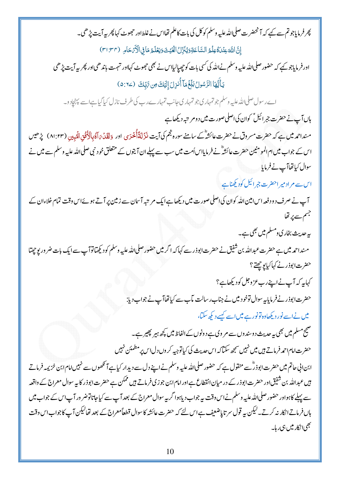پھر فرمایاجو تم سے کہے کہ آنحضر ت صلی ﷲ علیہ وسلم کو کل کی بات کاعلم تھااس نے غلط اور حجھوٹ کہا پھر پیر آیت پڑھی۔ إِنَّ اللَّهَ عِنْدَهُ عِلْمُ السَّاعَةِ دَيُّنَزِّلُ الْغَيْثَ دَيَعْلَمُ مَا فِى الْأَيْحَامِ (٣١:٣٢) اور فرمایاجو کیے کہ حضور صلی اللہ علیہ وسلم نےاللہ کی کسی بات کو چھپالیااس نے بھی حجھوٹ کہااور نہمت باندھی اور پھر پیرآیت پڑھی يَأَيُّهَا الرَّسُولُ بَلِّغُ مَآ أُنزِلَ إِلَيَكَ مِن رَّبِّكَ (٢٤:٥) اے رسول صلی اللہ علیہ وسلم جو تمہاری جو تمہاری جانب تمہارے رب کی طرف نازل کیا گیاہےات پہنچاد و۔ ہاں آپ نے حضرت جبرائیل ؑ کوان کی اصلی صورت میں دوم تبہ دیکھاہے منداحمہ میں ہے کہ حضرت مسروق نے حضرت عائشہؓ کے سامنے سورہ مجم کی آیت فنَزَلَقَآأُحْدَى اور دَلَقَدۡ بَآاُ بِالْأُفُقِ الْمُبِينِ (١:٢٣) پڑھیس اس کے جواب میں ام المومنین حضرت عائشہؓ نے فرمایااساُمت میں سب سے پہلے ان آیتوں کے متعلق خود نبی صلی اللہ علیہ وسلم سے میں نے سوال کیاتھاآپ نے فرمایا اس سے م ادمیر احضر ت جمر ائیل کودیکھناہے آپ نے صرف د ود فعہ اس امین اللہ کوان کی اصلی صورت میں دیکھا ہے ایک مرتبہ آسان سے زمین پر آتے ہوئےاس وقت تمام خلاءان کے حجسم سے پر تھا یہ حدیث بخار کی ومسلم میں بھی ہے۔ مسنداحمہ میں ہے حضرت عبداللہ بن شفیق نے حضرت ابوذر سے کہاکہ ا گر میں حضور صلی اللہ علیہ وسلم کودیکھآلوآپ سےایک بات ضر وریوچھتا حضرت ابوذرنے کہا کیا یوجھتے؟ کہایہ کہ آپ نےاپنےرب عزوجل کودیکھاہے؟ حضرت ابوذرنے فرمایا ہہ سوال توخو د میں نے جناب ر سالت مآب سے کیاتھاآپ نے جواب دیا: میں نےاسے نور دیکھاوہ تونور ہے میں اسے کیسے دیکھ سکتا، صحیح مسلم میں بھی ہ<sub>ے</sub> حدیث دوسند وں سے مر وی ہے دونوں کے الفاظ میں کچھ ہیر پھیر ہے۔ حضرت امام احمد فرماتے ہیں میں نہیں سمجھ سکنا کہ اس حدیث کی کیاتوجیہ کر وں دل اس پر مطمئن نہیں ابن ابی حاتم میں حضرت ابوذرؓ سے منقول ہے کہ حضور صلی اللہ علیہ وسلم نے اپنے دل سے دیدار کیاہے آنکھوں سے نہیں امام ابن خزیمہ فرماتے ہیں عبداللہ بن شفیق اور حضرت ابوذر کے در میان انقطاع ہے اور امام ابن جو زی فرماتے ہیں ممکن ہے حضرت ابوذر کا بہ سوال معراج کے واقعہ سے پہلے کاہواور حضور صلی اللہ علیہ وسلم نے اس وقت ہے جواب دیاہوا گریہ سوال معراج کے بعد آپ سے کیاجاتاتوضر ور آپاس کے جواب میں ہاں فرماتےانکار نہ کرتے۔لیکن بیہ قول سر تاپاضعیف ہےاس لئے کہ حضرت عائشہ کاسوال قطعاًمعراج کے بعد تھالیکن آپ کاجواب اس وقت *بھی*انکار میں ہی رہا۔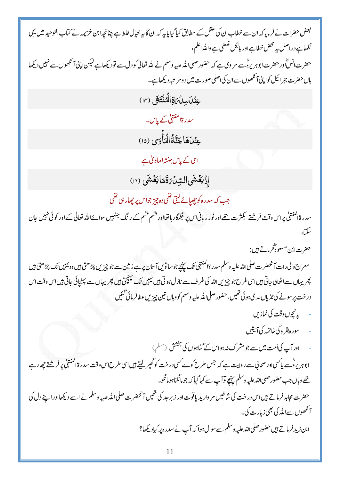بعض حضرات نے فرمایا کہ ان سے خطاب ان کی عقل کے مطابق کیا گیا پایہ کہ ان کا یہ خیال غلط ہے چنانچہ ابن خزیمہ نے کتاب التوحید میں یہی کھاہے دراصل یہ محض خطاہےاور بالکل غلطی ہے واللہ اعلم ، حضرت انس ؓاور حضرت ابوہریرہؓ سے مر وی ہے کہ حضور صلی اللہ علیہ وسلم نے اللہ تعالیٰ کو دل سے تودیکھاہے لیکن اپنی آنکھوں سے نہیں دیکھا ہاں حضرت جبرائیل کواپنی آنکھوں سےان کیاصلی صورت میں دومر تبہ دیکھاہے۔ عِنْكَ سِلْمَ يَوْالْهُ نُتَهَى (١٢)

سدرۃالمنتہیٰ کے پاس۔

عِنْدَهَاجَنَّةُالْمَأْوَى (١٥)

اسی کے پاس جنتہ الماویٰ ہے

إِذْيَغُشَى السِّلِّ رَقَمَا يَغُشَى (١٢)

جب کہ سدرہ کو چھپائے لیتی تھی وہ چیز جواس پر چھار ہی تھی

سدر ۃاکمنتٹیٰ پراس وقت فرشتے بکثرت تھے اور نور ریانی اس پر مجمگار ہاتھااور قشم قشم کے رنگ جنہیں سوائےاللہ تعالیٰ کے اور کوئی نہیں جان سكةلى

حضرت ابن مسعودٌّفرماتے ہیں :

معراج والى رات آنحضر ت صلى للدعليه وسلم سدر ةالمنتهي تك يہنيج جو ساتوس آ سان پر ہے زمين سے جو چز س چڑھتى ہيں وہ يہيں تك چڑھتى ہيں پھر یہاں سے اٹھالی جاتی ہیں اسی طرح جو چیزیں لللہ کی طرف سے نازل ہوتی ہیں لیبیں تک پہنچتی ہیں پھر یہاں سے پہنچائی جاتی ہیں اس وقت اس در خت پر سونے کی ٹڈیاں لدیہو ئی تھیں، حضور صلی للڈ علیہ وسلم کووہاں تین چیزیں عطافر مائی گئیں

- پانچوں وقت کی نماز پ
- سوره بقره کی خاتمہ کی آیتیں
- اور آپ کی اُمت میں سے جو مشر ک نہ ہواس کے گناہوں کی بخشش (مسلم) ابوہریرہؓ ہے پاکسیاور صحابی سے روایت ہے کہ جس طرح کوے <sup>کس</sup>ی درخت کو گھیر لیتے <del>ہ</del>یں اسی طرح اس وقت سدر ۃ المنتہجا پر فرشتے چھار ہے تھے وہاں جب حضور صلیاللہ علیہ وسلم پہنچے توآپ سے کہاگیاکہ جو مانگناہو مانگو۔ حضرت مجاہد فرماتے ہیں اس درخت کی شاخیں مر وارید یا قوت اور زبر جد کی تھیں آمحضرت صلی اللہ علیہ وسلم نے اسے دیکھااور اپنے دل کی ۔<br>آگھوں سےاللہ کی بھی زیارت کی۔ ابن زید فرماتے ہیں حضور صلی اللہ علیہ وسلم سے سوال ہوا کہ آپ نے سدرہ پر کیادیکھا؟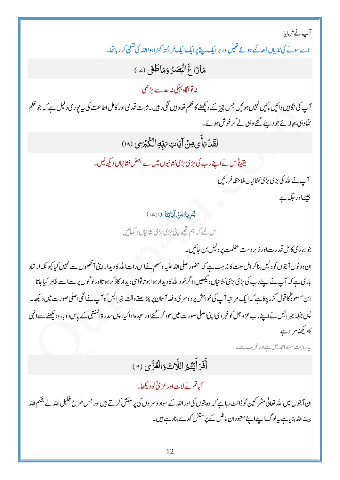آپ نے فرمایا:

اسے سونے کی ٹاڑیاں ڈھانکے ہوئے تھیںاور ہر ایک پیتے پرایک ایک فرشتہ کھڑاہوااللہ کی تسبیح کر رہاتھا۔

مَازَاغَ الْبَصَرُ دَمَاطَعَى (١٤)

نە تونگاہ بہجی نہ *جد سے بڑھی* 

آپ کی نگامپیں دائیں بائیں نہیں ہوئیں جس چیز کے دیکھنے کا حکم تھاوہیں لگی رہیں۔ثابت قد می اور کامل اطاعت کی بیریوری دلیل ہے کہ جو حکم تھاوہی بجالائے جو دیئے گئے وہی لے کرخوش ہوئے۔

لَقَدْبَأْيِ مِنْ آيَاتِ بَهْدِالْكُبْرَى (١٨)

يقيناًاس نےاپنےرب کی بڑی بڑی نشانیوں میں سے بعض نشانیاں دیکھ لیں۔

آپ نےاللہ کی بڑی بڑی نشانیاں ملاحظہ فرمائیں

جیسےاور جگہ ہے

لِنُرِيَةُ مِنْ آيَاتِنَا (2:1)

اس لئے کہ ہم تھےاپنی بڑی بڑی نشانیاں د کھائیں

جوہمار کی کامل قدر ت|ور زیر دست عظمت پر دلیل بن جائیں۔

ان دونوں آیتوں کو دلیل بناکر اہل سنت کا مذہب ہے کہ حضور صلی اللہ علیہ وسلم نے اس رات اللہ کا دیدارا پی آنکھوں سے نہیں کیا کیونکہ ارشاد باری ہے کہ آپ نےاپنےرب کی بڑی بڑی نشانیاں دیکھیں،ا گرخو داملہ کادیدار ہواہو تاتواسی دیدار کاذ کر ہو تااور لو گوں پر سےاسے ظاہر کیاجاتا ابن مسعورٌکا قول گزر چکاہے کہ ایک مرتبہ آپ کی خواہش پر دوسر ی دفعہ آسان پر چڑھتے وقت جمرائیل کوآپ نےاٹکی اصلی صورت میں دیکھا۔ پس جبکہ جرائیل نےاپنے رب عزوجل کو خبر دی اپنی اصلی صورت میں عود کر گئے اور سجد ہادا کیا، پس سدر ۃالمنتہی کے پاس د وبار ہ دیکھنے سے انہی کادیکھنام ادے

ىيەرول<sup>ىت مىنداحمەميى<sub>ل س</sub>ے اورغريب ہے۔</sup>

أَفَرَأَنِتُمُ اللَّاتَ وَالْعُزَّى (١٩)

کیاتم نےلات اور عز کی کودیکھا۔

ان آیتوں میں <sub>اللہ</sub> تعالیٰ مشر کین کو ڈانٹ رہاہے کہ وہ بتوں کی اور اللہ کے سواد وسر وں کی پرستش کرتے ہیں اور جس طرح خلیل اللہ نے بحکم اللہ بیت اللہ بنایاہے پہ لوگ اپنے اپنے معبودان باطل کے پر ستش کدے بنار ہے ہیں۔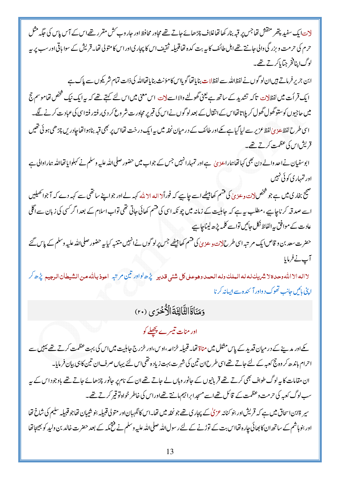لات ایک سفید پتھر منقش تھاجس پر قبہ بنار کھا تھاغلاف چڑھائے جاتے تھے مجاور محافظ اور حار وب *کش مقرر تھے*اس کے آس پاس کی حکیہ مثل حرم کی حرمت و بزرگی دالی جانتے تھے اہل طائف کا بیہ بت کدہ تھاقبیلیہ ثقیف اس کا پچار کیاور اس کا متولی تھا۔ قریش کے سوا ہاقی اور سب پر بیہ لوگ اینافخر جیا ماکرتے تھے۔

ابن جریر فرماتے ہیںان لو گوں نے لفظ اللہ سے لفظ لات بنایاتھا گو پااس کامؤنث بنایاتھااللہ کی ذات تمام شریکوں سے پاک ہے ایک قر اَت میں لفظ<sup>ا</sup>ت تاکہ تشدید کے ساتھ ہے یعنی گھولنے والااسے لات اس معنی میں اس لئے کہتے تھے کہ یہ ایک نیک شخص تھاموسم حج میں حاجیوں کوستو گھول گھول کر پا تاتھااس کے انقال کے بعد لو گوں نےاس کی قبر پر مجاورت شر وع کر دی رفتہ رفتہ اسی کی عبادت کرنے لگے۔ اسی طرح لفظء دیٰ لفظ عزیر سے لیاگیاہے کے اور طائف کے در میان نحلہ میں یہ ایک درخت تھااس پر بھی قبہ بناہوا تھاجادریں چڑھی ہو ئی تھیں قریشاس کی عظمت کرتے تھے۔

ابوسفیان نےاحد والے دن بھی کہاتھاہماراعدیٰ ہےاور تمہارانہبیں جس کے جواب میں حضور صلی اللہ علیہ وسلم نے کہلوایاتھااللہ ہماراوالی ہے اور تمہاری کوئی نہیں

صحیح بخاری میں ہے جو شخص<u>لات د</u>عزیٰ کی قسم کھابیٹھے اسے جاہیے کہ فوراً ( اللہ الا ملّٰہ کہہ لے اور جواپنے ساتھی سے کہہ دے کہ آجواٹھیلیں اسے صدقہ کرناجاہیے ،مطلب ہیہ ہے کہ جاہلیت کے زمانہ میں چونکہ اسی کی قسم کھائی جاتی تھی تواباسلام کے بعد اگر کسی کی زبان سے اگلی عادت کے موافق بہ الفاظ نکل جائیں تواسے کلمہ پڑھ لیناجا ہے

حضرت سعد بن و قاص ایک مر تبہ اسی طرح لات و عزیٰ کی قسم کھابیٹھے جس پرلو گوں نے انہیں متنبہ کیا یہ حضور صلی الله علیه وسلم کے پاس گئے آپ نے فرمایا

لا اله الا الله وحد ذلا شريك له له الملك وله الحهد، وهو على كل شئ<sub>و،</sub> قلدي<sub>د م</sub>يُرِّه <sup>او</sup>له تين مرتبه اعوذ بالله من الشيطان الرجيع *يُنَّ هر كر* اپنی پائیں جانب تھوک د واور آئندہ سے ایسانہ کرنا

### دَمَنَاةَالثَّالِثَةَالْأُخْرَى (٢٠)

### اور منات تیسرے پچھلے کو

کے اور مدینے کے در میان قدید کے پاس مثلل میں مناۃ تھا۔قبیلہ خزاعہ ،اوس،اور خزرج جاہلیت میں اس کی بہت عظمت کرتے تھے بہیں سے احرام باندھ کر وہ جج کعبہ کے لئے جاتے تھےاسی طرح ان تین کی شہرت بہت زیاد ہ تھی اس لئے یہاں صرف ان تین کاہی بیان فرمایا۔ ان مقامات کا پہ لوگ طواف بھی کرتے تھے قر بانیوں کے حانور وہاں لے جاتے تھے ان کے نام پر حانور چڑھائے جاتے تھے باوجو داس کے پہ سب لوگ کعبہ کی حرمت وعظمت کے قائل تھےاسے مسجدابرا تبیم مانتے تھےاوراس کی خاطر خواہ تو قیر کرتے تھے۔

سپر ةابن اسحاق میں ہے کہ قریش اور بنو کنانہ عزماٰ کے پجاری تھے جونخلہ میں تھا۔اس کا نگہبان اور متولی قبیلیہ بنو شیبان تھاجو قبیلہ سلیم کی شاخ تھا اور بنو ہاشم کے ساتھ ان کا بھائی چارہ تھااس بت کے توڑنے کے لئے رسول اللہ صلی اللہ علیہ وسلم نے فتح مکہ کے بعد حضرت خالد بن ولید کو بھیجا تھا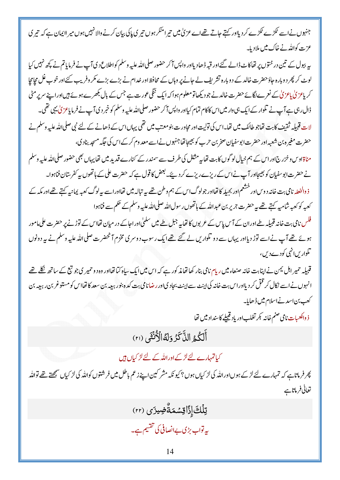جنہوں نےاسے عکڑے عکڑے کر دیلاور کہتے جاتے تھےاے عزمیٰ میں تیرامنکر ہوں تیری پاکی بیان کرنے والانہیں ہوں میر لا یمان ہے کہ تیری عزت کواللہ نے خاک میں ملادیا۔

پہ ببول کے تین درختوں پر تھاکاٹ ڈالے گئے اور قبہ ڈھادیااور واپس آ کر حضور صلی اللہ علیہ وسلم کواطلاع دی آپ۔ نے فرمایاتم نے پچھ نہیں کیا لوٹ کر پھر دوبارہ حاؤ حضرت خالد کے دوبارہ تشریف لے جانے پر وہاں کے محافظ اور خدام نے بڑے بڑے مکر وفریب کئے اور خوب غل مجامجا کر پاعز کیٰ پاعز کیٰ کے نعرے لگائے حضرت خالد نے جو دیکھاتو معلوم ہوا کہ ایک ننگی عورت ہے جس کے بال بکھرے ہوئے ہیںاوراپنے سرپر مٹی ڈال رہی ہے آپ نے تلوار کے ایک ہی وار میں اس کاکام تمام کیااور واپس آکر حضور صلی <sub>اللّٰہ</sub> علیہ وسلم کو خبر د ی آپ نے فرمایاعز کی یہی تھی۔ لات قبیلہ ثقیف کابت تھاجو طائف میں تھا۔اس کی تولیت اور مجاور ت بنومعتب میں تھی یہاںاس کے ڈھانے کے لئے نبی صلىالله علیه وسلم نے حضرت مغیر ہ بن شعبہ اور حضرت ابوسفیان صخر بن حرب کو بھیجاتھا جنہوں نے اسے معد وم کر کے اس کی حکیہ مسجد بناد کی، مناۃاوس و خزرج اور اس کے ہم خیال لو گوں کابت تھاپہ مثلل کی طرف سے سمندر کے کنارے قدید میں تھاپیہاں بھی حضور صلى الله عليه وسلم نے حضرت ابوسفیان کو بھیجااور آپ نے اس کے ریزے ریزے کر دیئے۔ بعض کا قول ہے کہ حضرت علی کے ہاتھوں پہ کفر ستان فناہوا۔ ذ والخعلہ نامی بت خانہ د و ساور خشعم اور بجیلہ کا تھااور جولوگ اس کے ہم وطن تھے ہیہ تبالہ میں تھااوراسے پیہ لوگ کعبہ یمانیہ کہتے تھےاور مکہ کے كعبه كوكعبه شاميه كہتے تھے بہ حضرت جرير بن عبداللہ كے ہاتھوں رسول اللہ صلى اللہ عليہ وسلم كے حكم سے فناہوا فلس نامی بت خانہ قبیلہ طے اور ان کے آس پاس کے عربوں کا تھا <sub>پی</sub>ے جبل طے میں سلمیٰ اور اجاکے در میان تھااس کے توڑنے پر حضرت علی مامور

ہوئے تھے آپ نے اسے نوڑ دیااور یہاں سے دو تلواریں لے گئے تھے ایک رسوب دوسری مخزم آنحضرت صلی اللہ علیہ وسلم نے بیر دونوں تکوار سانہی کودے دیں،

قبیلہ حمیر اہل <sup>یم</sup>ن نے اپنابت خانہ صنعاء میں ریام نامی بنار کھا تھا مذکور ہے کہ اس میں ایک سیاہ کیا تھااور وہ دو حمیر کی جو تبع کے ساتھ نکلے تھے انہوں نےاسے نکال کر قتل کر دیااوراس بت خانیہ کی اپنٹ سے اپنٹ بحاد کیااور رضانامی بت کدہ ہنور ببعہ بن سعد کا تھااس کومستوغر بن رببعہ بن کعب بن اسد نے اسلام میں ڈھایا۔

ذ والكعبات نامي صنم خانه كبر تغلب اور ياد قبيلے كاسنداد ميں تھا

أَلَكُمُ الذَّكَرُ وَلَهُ الْأَنْثَى (٢١)

کیاتمہارے لئے لڑکےاوراللہ کے لئے لڑ کیاں ہیں

پھر فرماتاہے کہ تمہارے لئے لڑکے ہوںاوراللہ کی لڑ کیاں ہوں؟ کیونکہ مشر کین اپنے زعم باطل میں فرشنوں کواللہ کی لڑ کیاں سمجھتے تھے تواللہ تعالى فرماتاہے

ڗؚڶڶ<sup>ۣ</sup>ٙٛٵؚۣڒؘٙٲۊؚۺٙمۜۊۨٞۻؚؠۯ*ؘ*ؽ (٢٢) بیرتواب بڑی بےانصافی کی تقسیم ہے۔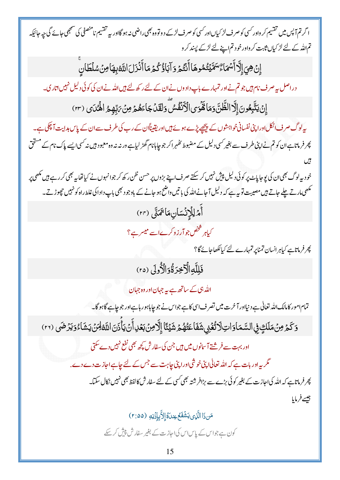ا گرتم آپس میں تقسیم کر داور کسی کو صرف لڑ کیاںاور کسی کو صرف لڑ کے د وتووہ بھی راضی نہ ہو گااور بہ تقسیم نامنصفی کی سمجھی جائے گی جہ جائیکہ تم اللہ کے لئے لڑ کیاں ثابت کر واور خود تم اپنے لئے لڑ کے پیند کر و

ٳؚڹٛ؋ۑٳٳؖڐٲؘۺڡؘٵۦؚۨ۠ۺؘۜؽٙؾ۠ڡ۠ڂۅۿٲٲۧٮٛؿ۠ؽۏۊۜٳٙڹٲۏ۠ػ۠ؽ۫ڡؘٲٲٛۮ۬ڗڶٵ۩ۜڡ۠ڹؚۿؘٲڡؚڹٛۺڶڟٳڹۨ

دراصل ہے صرف نام ہیں جو تم نےاور تمہارے باپ دادوں نےان کے لئے رکھ لئے ہیںاللہ نےان کی کوئی دلیل نہیںاتاری۔

إِنۡ يَتَّبِعُونَ إِلَّا الظَّنَّ وَمَا قَمَّوَى الۡكَٰنَفُسَّ وَلَقَدۡ جَاءَهُمۡ مِنۡ يَہّٖهِمُ الْهُمَاى (٢٣)

پہ لوگ صرف انکل اوراپنی نفسانی خواہشوں کے پیچھے پڑے ہوئے ہیں اور یقیناًان کے رب کی طرف سے ان کے پاس ہدایت آ چکی ہے۔ پھر فرمانا ہےان کو تم نےاپنی طرف سے بغیر کسی دلیل کے مضبوط تھٰہر اکر جو چاہانام گھڑ لیاہے ورنہ نہ وہ معبود ہیں نہ کسی ایسے پاک نام کے مستحق

خود بہ لوگ بھی ان کی یوجاپاۓ پر کوئی دلیل پیش نہیں کر سکتے صرف اپنے بڑوں پر حسن ظن ر کھ کر جوانہوں نے کیاتھا بہ بھی کر رہے ہیں مکھی پر مکھی مارتے چلے جاتے ہیں مصیبت تو پہ ہے کہ دلیل آ جانےاللہ کی باتیں واضح ہو جانے کے باوجود بھی باپ دادا کی غلط راہ کونہیں حچھوڑتے۔ أَمْرَلِلَإِنْسَانِ مَا تَمَنَّى (٢٣) کیاہر شخص جوآر زوکرےاسے میسرے؟

پھر فرماناہے کیاہرانسان تمناپر تمہارے لئے کیالکھاجائے گا؟

## فَلِلَّهِ الْآَخِرَةُ وَالْأُولَى (٢٥)

اللہ ہی کے ساتھ ہے یہ جہان اور وہ جہان

تمام امور کامالک اللہ تعالٰی ہے د نیااور آخرت میں تصر ف اسی کا ہے جواس نے جو چاہاہور ہاہے اور جو چاہے گاہو گا۔ وَكَمَرْ مِنْ مَلَكٍ فِي السَّمَاوَاتِ لَاتُّغْنِي شَفَاعَتُهُمْ شَيْئًا إِلَّا مِنْ بَعُدِ أَنْ يَأْذَنَ اللَّهُ لِمَنْ يَشَاءُ وَيَرْضَى (٢٦)

اور بہت سے فر شتے آ سانوں میں ہیں جن کی سفارش کچھ بھی نفع نہیں دے سکتی

گر ہےاور بات ہے کہ اللہ تعالٰی اپنی خوشی اوراپنی جاہت سے جس کے لئے جاہے اجازت دے دے. کچر فرماتاہے کہ اللہ کیااحازت کے بغیر کوئی بڑے سے بڑافر شتہ بھی کسی کے لئے سفارش کالفظ بھی نہیں نکال سکتا۔ جيسے فرمايا

مَن ذَا الَّذِي يَشُفَعُ عِندَهُ إِلاَّ بِإِذْنِهِ (٢:٥٥)

کون ہے جواس کے پاساس کیااجازت کے بغیر سفارش پپش کر سکے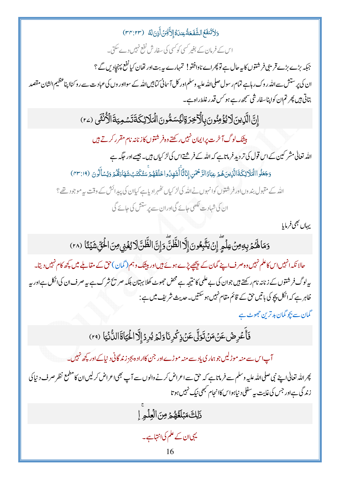وَلاَتَنفَعُ الشَّفَعَةُ عِندَهُ إِلاَّلِّهَنَ أَزِنَ لَهُ (٣٣:٢٣) اس کے فرمان کے بغیر کسی کوکسی کی سفارش نفع نہیں دے سکتی۔ جبکہ بڑے بڑے قریبی فرشتوں کا بیہ حال ہے تو پھراے ناوافقو! تمہارے بیہ بت اور تھان کیا نفع پہنچادیں گے ؟ ان کی پرستش سےاللہ روک رہاہے تمام رسول صلی اللہ علیہ وسلم اور کل آ سانی کیا بیں اللہ کے سوااور وں کی عبادت سے رو کناا پناعظیم الشان مقصد بتاتی ہیں پھر تم ان کواپناسفار شی سمجھ رہے ہو <sup>کس</sup> قدر غلط راہ ہے۔ إِنَّ الَّذِينَ لَا يُؤْمِنُونَ بِالْآخِرَةِ لِيُسَمُّونَ الْمَلَائِكَةَتَسْمِيَةَ الْأُنْثَى (٢٤) بیشک لوگ آخرت پرایمان نہیں رکھتے وہ فر شتوں کاز نانہ نام مقرر کرتے <del>ہ</del>یں اللہ تعالیٰ مشر کین کے اس قول کی تر دید فرماتاہے کہ اللہ کے فرشتےاس کی لڑ کیاں ہیں۔ جیسے اور حکمہ ہے وَجَعَلُواالْمَلَائِكَةَالَّذِينَهُمْ عِبَادُالرَّحْمَنِ إِنَاثَاًأَشَهَدُواخَلَقَهُمُّ سَتُكَتَبُ شَهَارَهُّمُّ وَيُسَأَلُونَ (٣٣:١٩) اللہ کے مقبول بند وں اور فرشتوں کوانہوں نے اللہ کی لڑ کیاں ٹھُہرادیا ہے کیاان کی پیدائش کے وقت پیرموجو دیتھے ؟ ان کی شہادت لکھی جائے گیااوران سے پر ستش کی جائے گی يهاں بھی فرمایا وَمَا لَهُمْ بِهِ مِنْ عِلْمٍ إِنْ يَتَّبِعُونَ إِلَّا الظَّنَّ وَإِنَّ الظَّنَّ لَا يُغۡنِى مِنَ الْحَقّ شَيۡئًا (٢٨) حالا نکہ انہیںاس کاعلم نہیں وہ صرف اپنے گمان کے پیچھے پڑے ہوئے ہیںاور بیٹک وہم( گمان)حق کے مقالبے میں کچھ کام نہیں دیتا۔ ر لوگ فرشتوں کے زنانہ نام رکھتے ہیں جوان کی بے علمی کا نتیجہ ہے محض حجو<sub>ٹ</sub> کھلا بہتان ہلکہ صر پح شرک ہے بہ صرف ان کی اٹکل ہے اور پہ ظاہر ہے کہ انکل پجو کی پاتیں حق کے قائم مقام نہیں ہوسکتیں۔حدیث شریف میں ہے : گمان سے بچو گمان بد ترین جھوٹ ہے فَأَعْرِضُ عَنْ مَنْ تَوَلَّى عَنْ ذِكْرِ نَا وَلَمْ يُرِدُ إِلَّا الْحَيَاةَ الدُّنْيَا (٢٩) آپ اس سے منہ موڑلیں جو ہمار کی پاد سے منہ موڑےاور جن کااراد ہ بجز زند گانی دیاکے اور کچھ نہیں۔ پھر اللہ تعالٰی اپنے نبی صلی اللہ علیہ وسلم سے فرماتا ہے کہ حق سے اعراض کرنے والوں سے آپ بھی।عراض کر لیں ان کامطمع نظر صرف د نیا کی زندگی ہےاور جس کی غایت بیہ سفلی د نیاہواس کاانجام کبھی نیک نہیں ہوتا

ذَلِكَ مَبْلَغُهُمْ مِنَ الْعِلْمِ إِ

یہی ان کے علم کی انتہاہے۔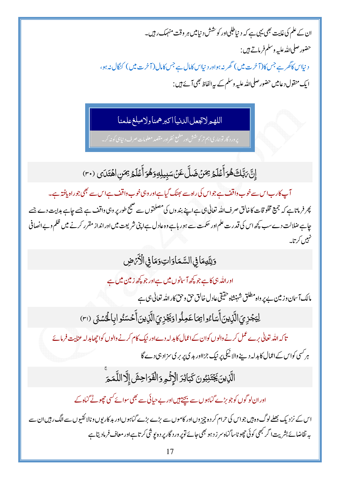ان کے علم کی غایت بھی یہی ہے کہ دیا طلبیااور کو حشش دیامیں ہر وقت منہمک رہیں۔ حضور صلىالله عليه وسلم فرماتے ہيں : د نياس کاڪر ہے جس کا(آخرت میں) گھر نہ ہواور دیااس کامال ہے جس کامال(آخرت میں) کنگال نہ ہو، ایک منقول د عامیں حضور صلی اللہ علیہ وسلم کے پیرالفاظ بھی آ ئے ہیں :

اللهير لاتجعل الدنيا اكبر همناولامبلغ علمنا

یر ورد گار توہمار یااہم تر کوششاور مطمع نظراور مقصد معلومات صرف دین<sub>ا</sub>ہی کو نہ کر۔

إِنَّ مَبَّلَكَ هُوَ أَعۡلَمُ عِمَنۡ ضَلَّ عَنۡ سَبِيلِهِ وَهُوَ أَعۡلَمُ عِمَنِ اهۡتَدَى (٣٠)

آپ کارباس سے خوب داقف ہے جواس کی راہ سے بھٹک گیاہےاور وہی خوب واقف ہے اس سے بھی جوراہ یافتہ ہے۔ پھر فرماناہے کہ جمیع مخلو قات کاخالق صرف اللہ تعالٰی ہی ہےاپنے بند وں کی مصلحتوں سے صبح طور پر وہی واقف ہے جسے چاہے ہدایت دے جسے

چاہے ضلالت دے سب کچھ اس کی قدرت علم اور حکمت سے ہو رہاہے وہ عادل ہے اپنی شریعت میں اور انداز مقرر کرنے میں ظلم و بےانصافی تنہیں کر تا۔

وَالِّهِمَا فِي السَّمَاوَاتِ وَمَا فِي الْأَرْمَضِ

اوراللہ ہی کا ہے جو کچھ آسانوں میں ہے اور جو کچھ زمین میں ہے

مالک آ سان وزیین ہے پر واہ مطلق شہنشاہ حقیقی عادل خالق حق وحق کاراللہ تعالیٰ ہی ہے ۔

لِيَجْزِيَ الَّذِينَ أَسَاءُوا بِمَاعَمِلُوا وَيَجْزِيَ الَّذِينَ أَحۡسَنُوابِالۡحُسۡنَى (٣١)

تاکہ اللہ تعالٰی برے عمل کرنے والوں کوان کے اعمال کا ہدلہ دےاور نیک کام کرنے والوں کوا چھابدلہ عنایت فرمائے ہر کسی کواس کے اعمال کا ہدلہ دینے والا نیکی پر نیک جزااور بد می پر بر می سزاد ہی دے گا

الَّذِينَ يَجۡتَنِبُونَ كَبَائِرَ الۡإِثۡمِ وَالۡفَوَاحِشَ إِلَّا اللَّمَـٰٓمَ

اوران لو گوں کو جو بڑے گناہوں سے بیچتے ہیںاور بے حیائی سے بھی سوائے کسی چھوٹے گناہ کے

اس کے نزد یک بھلے لوگ دہ ہیں جواس کی حرام کر دہ چیز وںاور کاموں سے بڑے بڑے گناہوںاور بد کارپوں ونالائقیوں سےالگ رہیںان سے بہ تقاضائے بشریت ا گر <sup>کب</sup>ھی کوئی حچھوٹاساگناہ سر ز د ہو بھی جائے توپر ور د گار پر د ہ<sup>ر</sup>پو شی کرتاہےاور معاف فرمادیتا ہے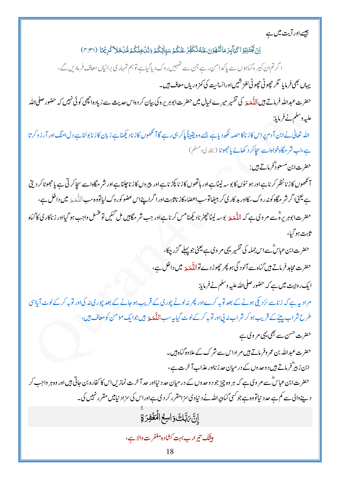جیسے اور آیت میں ہے

اِنْ تَجْتَنِبُوۡا كَبَآبِرَ مَاتُنۡهَوۡنَ عَنۡهُ نُكَفِّرۡ عَنۡكُمۡ سَيّاٰتِكُمۡ دَنُكۡ فِلۡكُمۡ مُّلۡ فَلاَ كَرِیۡهَا (٣:٣١) ا گرتم ان کبیر ہ گناہوں سے پاکدامن رہے جن سے تہمیں روک دیاگیاہے توہم تمہاری برائیاں معاف فرماد س گے ، یہاں بھی فرمایا گر حچھوٹی حچھوٹی لغز شیںاورانسانیت کی کمزوریاں معاف ہیں۔ حضرت عبداللہ فرماتے ہیںاللّٰہَ پرَ کی تفسیر میرے حیال میں حضرت ابوہریرہ کی بیان کر دہاس حدیث سے زیادہ انچھی کوئی نہیں کہ حضور صلی اللّٰہ عليهِ وسلم نےفرمایا: اللہ تعالٰی نے ابن آدم پراس کا زناکا حصہ لکھ دیاہے جسے وہ یقیناً پاکر ہی رہے گا آنکھوں کازنادیکھناہے زبان کاز نابولناہے دل امنگ اور آر زوکر تا ہے،اب شر مگاہ خواہاسے سجاگر د کھائے پاحجھوٹا (بخاری دمسلم) حضرت ابن مسعودٌفرماتے ہیں: آنحمھوں کاز نا نظر کرناہےاور ہو نٹول کا بوسہ لیناہےاور ہاتھوں کاز نا پکڑ ناہےاور پیروں کاز ناجلناہےاور شر مگاہاسے سجاکر ٹی ہے یاحجھوٹاکر دیتی ہے یعنی اگر شر مگاہ کو نہ روک سکااور بد کار کی کر بیٹھاتوسب اعضاءکاز ناثابت اور اگراپنےاس عضو کور وک لیاتووہ سب اللَّهَ پَر میں داخل ہے، حضرت ابوہریرہؓ سے مر وی ہے کہ اللّٰہَ یَہ بوسہ لیناحچٹر نادیکھنامس کرناہےاور جب شر مگاہیں مل گئیں توعسل واجب ہو گیااور زناکار ی کاگناہ ثابت ہو گیا، حضرت ابن عباسٌ ہے اس جملہ کی تفسیر یہی مر وی ہے یعنی جو پہلے گزر چکا، حضرت محاہد فرماتے ہیں گناہ سے آلود گی ہو پھر چھوڑ دے تواللؓ محیر میں داخل ہے، ایک روایت میں ہے کہ حضور صلی <sub>اللّٰہ</sub> علیہ وسلم نے فرمایا: م ادیہ ہے کہ زناسے نزد کی ہونے کے بعد توبہ کرےاور پھر نہ لوٹے چور پی کے قریب ہو جانے کے بعد چور کی نہ کی اور توبہ کرکے لوٹ آیااسی طرح شراب پینے کے قریب ہو کر شراب نہ پیااور توبہ کرکے لوٹ گیاںیہ سب **اللّٰہ** کی قیل جوایک مؤمن کومعاف ہیں، حضرت حسن سے بھی یہی مر وی ہے حضرت عبداللہ بن عمر وفرماتے ہیں مر اداس سے شر ک کے علاوہ گناہ ہیں۔ ابن زبیرؓ فرماتے ہیں دوحد وں کے در میان حد زنااور عذاب آخرت ہے، حضرت ابن عباسؓ سے مر وی ہے کہ ہر وہ چیز جو د وحد وں کے در میان حد د نیااور حد آخرت نمازیں اس کا کفار ہ بن جاتی ہیںاور وہ ہر واجب کر دینے والی سے کم ہے حد دیناتووہ ہے جو کسی گناہ پراللہ نے دیناوی سزامقرر کر دی ہےاوراس کی سزاد نیامیں مقرر نہیں کی۔ إِنَّ مَبَّلَكَ وَاسِعُ الْمَغْفِرَةِ بیشک تیر ارب بہت کشاد ہ مغفر ت والا ہے ، 18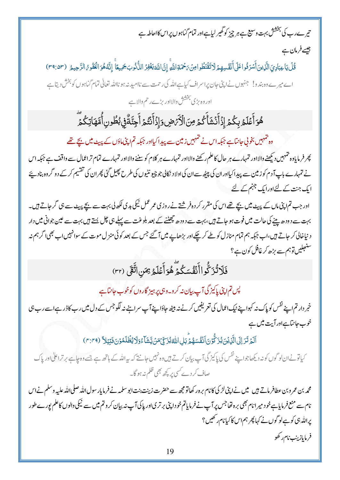# تی<sub>ر سے</sub>رب کی بخشش بہت وسیع ہے ہر چیز کو گھیر لیاہےاور تمام گناہوں پراس کااحاطہ ہے

جیسے فرمان ہے

قُلْ يَاعِبَادِيَ الَّذِينَ أَسْرَفُو اعَلَى أَنَفُسِهِمْ لَاتَقْنَطُوا مِنْ بَحْمَةِ اللَّهِ إِنَّ اللَّهَ يَغْفِرُ الذُّنُوبَ جَمِيعًا ۚ إِنَّهُ هُوَ الْغَفُوهُ الرَّحِيمُ (٣٩:٥٣) اے میرے وہ بند و! جنہوں نےاپنی جان پراسراف کیاہےاللہ کی رحمت سے ناامید نہ ہو نااللہ تعالٰی تمام گناہوں کو بخش دیتاہے اور وہ بڑی بخشش والااور بڑے رحم والا ہے

ۿؙۊٲۜڠؘڶٙٙۿڔۑػ۠ؗ۠ۿؘٳؚۮؘٲۜۮؙۺؘٲۜػ۠ۿ؋ؚڹؘٳڷٲۜٚ؆ؘڞؚۣۅؘٳۭۮؘٲۜٮ۬ٛؿ۠ۿٲۨڿڹۜٞڐۨڣۣؠ۠ڟؗۅڹۣٲ۠۠ڡۜۿٲؾػٛۿؖ

وہ تہمہیں بخونی جانتاہے جبکہ اس نے تہمہیں زمین سے پیدا کیااور جبکہ تم اپنی ماؤں کے پیٹ میں بچے تھے

پھر فرمایاوہ جمہیں دیکھنے والااور تمہارے ہر حال کاعلم رکھنے والااور تمہارے ہر کلام کو سننے والااور تمہارے تمام تراعمال سے واقف ہے جبکہ اس نے تمہارے باپ آ دم کوز مین سے پیدا کیااوران کی پیٹھ سےان کی اولاد نکالی جو چیو نٹیوں کی طرح پھیل گئی پھران کی تقسیم کرکے دو گروہ بناد پئے ایک جنت کے لئےاورایک جہنم کے لئے

اور جب تم اپنی ماں کے پیٹ میں بچے تھےاس کی مقرر کر دہ فر شتے نے روزی عمر عمل نیکی بدی لکھ لی بہت سے بچے پیٹ سے ہی گر جاتے ہیں۔ بہت سے دودھ پینے کی حالت میں فوت ہو جاتے ہیں، بہت سے دودھ چھٹنے کے بعد بلوغت سے پہلے ہی چل بستے ہیں بہت سے عین جوانی میں دار د نیاخالی کر جاتے ہیں،اب جبکہ ہم تمام منازل کو طے کرچکے اور بڑھاپے میں آگئے جس کے بعد کوئی منزل موت کے سوانہیںاب بھی اگر ہم نہ ستنجلیں توہم سے بڑھ کرغافل کون ہے؟

فَلَاتُزَكُّواأَنَّفُسَكُمَّ هُوَأَعۡلَمُ مِمَنِ اتَّقَى (٣٢)

پس تم اپنی پاکیز گی آپ بیان نہ کرو۔وہی پر ہیز گاروں کوخوب جانتا ہے

خبر دارتم اپنے نفس کو پاک نہ کہوا پنے نیک اعمال کی تعریفیں کرنے نہ بیٹھ حاؤاپنے آپ سراہنے نہ لگوجس کے دل میں رب کا ڈر ہے اسے رب ہی خوب جانتاہےاور آیت میں ہے

آلَهُ تَرَ إِلَى الَّذِيْنَ يُزَكُّونَ أَنْفُسَهُمْ بِمَلِ اللَّهُ يُزَكِّيْ مَنْ يَّشَآءُوَلَا يُظُلَمُوْنَ فَبْنِيَلاً (٣:٣٩)

کیاتونےان لو گوں کو نہ دیکھاجوا پنے نفس کی پاکیز گی آپ بیان کرتے ہیں وہ نہیں جانتے کہ پہ اللہ کے ہاتھ ہے جسے وہ چاہے بر تراعلیٰ اور پاک صاف کر دے کسی پر کچھ بھی ظلم نہ ہو گا۔

محمہ بن عمرو بن عطافرماتے ہیں ہیں نےاپنی لڑ کی کانام برہ ر کھاتو مجھ سے حضرت زینت بنت ابوسلمہ نے فرمایار سول الله صلى الله عليہ وسلم نےاس نام سے منع فرمایاہے خود میر انام بھی برہ تھاجس پر آپ نے فرمایاتم خودا پٹی بر تر یااور پاکی آپ نہ بیان کر وتم میں سے نیکی والوں کاعلم پورے طور یراللہ ہی کو ہے لو گوں نے کہا پھر ہم اس کا کیانام رکھیں ؟ فرمايازينب نام ركھو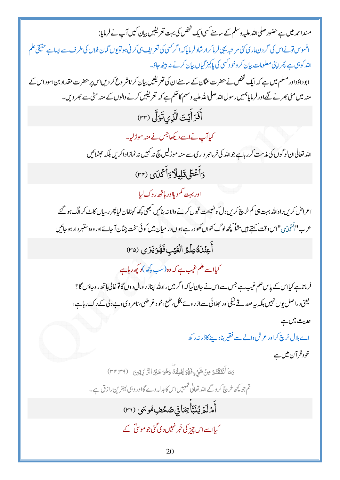مسنداحمہ میں ہے حضور صلی اللہ علیہ وسلم کے سامنے کسی ایک شخص کی بہت تعریفیں بیان کیں آپ نے فرمایا: افسوس تونے اس کی گردن ماری کئی مریتبہ یہی فرماکرار شاد فرمایا کہ اگر *کس*ی کی تعریف ہی کرنی ہو توپوں گمان فلاں کی طرف سے ایسا ہے حقیقی علم اللہ کو ہی ہے پھراپنی معلومات بیان کر وخود <sup>کس</sup>ی کی پاکیز گیاں بیان کرنے نہ بیٹھ حاؤ۔ ابوداؤداور مسلم میں ہے کہ ایک شخص نے حضرت عثان کے سامنےان کی تعریفیں بیان کر ناشر وع کر دیںاس پر حضرت مقداد بن اسوداس کے منہ میں مٹی بھرنے لگےاور فرمایاہمیں رسول <sub>اللہ</sub> صلی <sub>اللہ علیہ</sub> وسلم کا حکم ہے کہ تعریفیں کرنے والوں کے منہ مٹی سے بھر دیں۔ أَفَرَأَيۡتَ الَّذِى تَوَلَّى (٣٣) ۔<br>کیاآپ نےاسے دیکھاجس نے منہ موڑلیا۔ اللہ تعالٰیان لو گوں کی مذمت کر رہاہے جواللہ کی فرمانپر دار کی سے منہ موڑ لیں پیج نہ کہیں نہ نمازاد اکریں بلکہ حضلائیں دَأَعْطَىقَلِيلًادَأَكْدَى (٣٢) اور بہت <sup>کم</sup> دیلاور ہاتھ روک لیا اعراض کریں راہاللہ بہت،پی کم خرچ کریں دل کونصیحت قبول کرنے والانہ بنائیں کبھی کچھ کہنامان لیا پھر رسیاں کاٹ کرالگ ہو گئے عرب"اَأَكْدَى "اس وقت كہتے ہيں مثلًا پچھ لوگ كنواں كھود رہے ہوں در ميان ميں كو ئى سخت چٹان آ جائےاور وہ دستبر دار ہو جائيں أَعِنُدَةُعِلْمُ الْعَيْبِ فَهُوَيَرَى (٣٥) کیااسے علم غیب ہے کہ وہ(سب پچھ)دیکھ رہاہے فرماناہے کیااس کے پاس علم غیب ہے جس سےاس نے جان لیاکہ اگر میں راہ لٹداپنازر ومال د وں گا توخالی ہاتھ رہ جاؤں گا؟ یعنی دراصل بوں نہیں بلکہ یہ صدقے نیکی اور بھلائی سے ازرویے بخل،طمع،خود غرضی،نامر دیوے دلی کے رک رہاہے، حدیث میں ہے اے ہلال خرچ کراور عرش والے سے فقیر بناد ینے کاڈر نیرر کھ خود قرآن میں ہے وَمَا أَنۡفَقَّتُمۡ مِنۡ شَیۡءٍ فَهُوَ یُّخۡلِقُهؓ وَهُوَ خَیۡرُ الرَّازِقِینَ (٣٣:٣٩) تم جو کچھ خرچ کروگے اللہ تعالٰی تنہمیںاس کا بدلہ دے گااور وہی بہترین رازق ہے۔ أَمْرَلَمَ يُنَبَّأَبِهَافِى صُحْفِ هُوسَى (٣٦) کیااسےاس چیز کی خبر نہیں دی گئی جو موسیٰ ؓ کے 20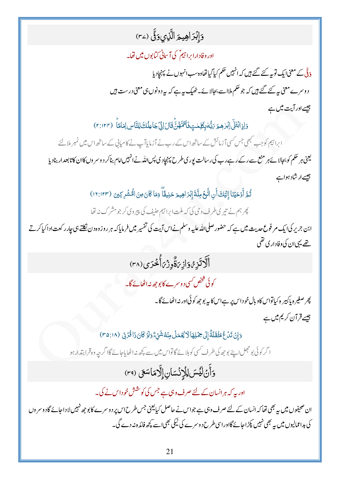# دَإِبْرَاهِيمَ الَّذِي دَقَّ (٣٤)

### اور وفادارا براہیمؓ کی آسانی کتابوں میں تھا۔

دَقّی کے معنیٰا یک تو بہ کئے گئے ہیں کہ انہیں حکم کیاگیاتھاوہ سب انہوں نے پہنچاد یا د وسرے معنی ہے گئے گئے ہیں کہ جو حکم ملااسے بجالائے۔ ٹھیک ہیے کہ یہ دونوں ہی معنی درست ہیں جیسے اور آیت میں ہے

وَإِذِابُتَلَى إِبْرِهِمَ رَبُّهُ بِكَلِمٰتِ فَأَتَمَّهُنَّ قَالَ إِنِّي جَاعِلُكَ لِلنَّاسِ إِمَامًا ۚ (٢:١٢٣)

ابراہیم کو جب کبھی جس کسی آزمائش کے ساتھ اس کے رب نے آزمایاآپ نے کامیابی کے ساتھ اس میں نمبر ملالئے یعنی ہر حکم کو بجالائے ہر منع سے رکے رہے رب کی رسالت یوری طرح پہنچادی پس اللہ نےانہیں امام بناکر د وسر وں کاان کاتابعدار بنادیا جیسے ار شاد ہواہے

ثُّمَّ أَوْحَيْنَا إِلَيْكَ أَنِ اتَّبِحُ مِلَّةَ إِبْرَاهِيمَ حَنِيفًا ۖ وَمَا كَانَ مِنَ الْحُشُرِ كِينَ (١٢:١٢٣)

پھر ہم نے تیری طرف وی کی کہ ملت ابراہیم حنیف کی پیروی کرجومشر ک نہ تھا

ابن جریر کی ایک مر فوع حدیث میں ہے کہ حضور صلی اللہ علیہ وسلم نےاس آیت کی تفسیر میں فرمایاکہ ہر روز وہ دن نکلتے ہی جار رکعت ادا کیاکر تے تھے یہی <sub>ال</sub>ن کی وفاد ار <sub>کی</sub> تھی

أَلَّاتَزِ وُدَازِيَةٌوِزْيَأْخُرَى (٣٨)

کوئی شخص کسی د وسرے کایو جھ نبراٹھانے گا۔

پھر صغیر ہ پاکپیر ہ کیاتواس کاو بال خو داس پر ہےاس کا یہ بوجھ کو ئی اور نہ اٹھائے گا۔ جیسے قر آن کریم میں ہے

وَإِنْ تَدُعُ مُثْقَلَةٌ إِلَى حِمْلِهَا لَا يُعْمَلُ مِنْهُ شَيْءٌ وَلَوْ كَانَ ذَا قُرْبَى (٢٥:١٨)

ا گر کوئی بو حجل اپنے بوجھ کی طرف کسی کوبلائے گا تواس میں سے کچھ نہ اٹھا پاجائے گاا گرجہ وہ قرابتدار ہو

وَأَنْ لَيُسَ لِلْإِنْسَانِ إِلَّامَاسَعَى (٣٩)

اور بہ کہ ہر انسان کے لئے صرف وہی ہے جس کی کوشش خو داس نے کی۔

ان صحیفوں میں یہ بھی تھا کہ انسان کے لئے صرف وہی ہے جواس نے حاصل کیا یعنی جس طرح اس پر دوسرے کا بو جھ نہیں لاداحائے گاد وسر وں کی بداعمالیوں میں یہ بھی نہیں پکڑاجائے گااورا سی طرح د وسرے کی نیکی بھی اسے کچھ فائدہ نہ دے گی۔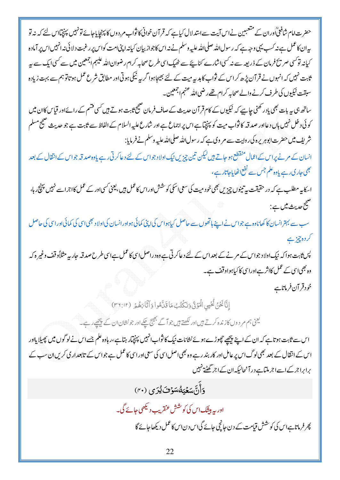حضرت امام شافعیؒاور ان کے متعبین نےاس آیت سےاستدلال کیاہے کہ قر آن خوانی کاثواب مر دوں کا پہنچایاجائے تو نہیں پہنچیااس لئے کہ بنہ تو بیہان کاعمل ہے نہ کسب یہی وجہ ہے کہ رسول اللہ صلی اللہ علیہ وسلم نے نہ اس کاجواز بیان کیانہ اپنی امت کواس پر رغبت دلا ئی نہ انہیں اس پر آمادہ کیانہ توکسی صر تۂ فرمان کے ذریعہ سے نہ کسی اشارے کناہیئے سے ٹھیک اسی طرح صحابہ کرام رضوان اللہ علیہم اجمعین میں سے کسی ایک سے پہ ثابت نہیں کہ انہوں نے قرآن پڑھ کراس کے ثواب کا ہدیہ میت کے لئے بھیجاہوا گریہ نیکی ہوتی اور مطابق شرع عمل ہوتاتوہم سے بہت زیادہ سبقت نیکیوں کی طرف کرنے والے صحابہ کرام تھے رضی اللہ عنہم اجمعین۔

ساتھ ہی ہہ بات بھی یادر تھنی جاہیے کہ نیکیوں کے کام قرآن حدیث کے صاف فرمان صحیح ثابت ہوتے ہیں کسی قشم کے رائےاور قیاس کاان میں کوئی د خل نہیں ہاں دعااور صدقہ کا ثواب میت کو پہنچیا ہے اس پر اجماع ہے اور شارع علیہ السلام کے الفاظ سے ثابت ہے جو حدیث صحیح مسلم شریف میں حضرت ابوہریرہ کی روایت سے مر وی ہے کہ رسول اللہ صلی اللہ علیہ وسلم نے فرمایا:

انسان کے مرنے پراس کےاعمال منقطع ہو جاتے ہیں لیکن تین چزیں نیک اولاد جواس کے لئے دعاکرتی رہے یاوہ صدقہ جواس کے انقال کے بعد بھی جاری رہے یاوہ علم جس سے نفع اٹھایاجاتارہے،

اسکاپہ مطلب ہے کہ در حقیقت بیہ تینوں چیزیں بھی خود میت کی سعی اسکی کوشش اوراس کاعمل ہیں، یعنی کسی اور کے عمل کااجراسے نہیں پہنچ رہا، صحيح حديث ميں ہے :

سب سے بہتر انسان کا کھاناوہ ہے جواس نے اپنے ہاتھوں سے حاصل کیاہواس کی اپنی کمائی ہواور انسان کی اولاد بھی اسی کی کمائی اور اسی کی حاصل کردہ چز ہے

پس ثابت ہوا کہ نیک اولاد جواس کے مرنے کے بعداس کے لئے دعاکرتی ہے وہ دراصل اسی کاعمل ہےاسی طرح صد قہ جار پہ مثلاً وقف وغیر ہ کہ وہ بھی اسی کے عمل کااثر ہےاوراسی کا کیاہواو قف ہے۔

خود قر آن فرماتاہے

إِنَّا نَحْنُ نُحْيِبِي الْمَوْتَي دَنَكْتُبُ مَا قَدَّهُوا دَأَثَاَءَهُمْ (٣٦:١٢)

لینی ہم مر دوں کازندہ کرتے ہیںاور لکھتے ہیں جو آگے بھیج چکے اور جو نشان ان کے پیچھے رہے۔

اس سے ثابت ہو تاہے کہ ان کے اپنے پیچھے چھوڑے ہوئے نشانات نیک کاثواب انہیں پہنچیار ہتاہے،ر ہاوہ علم جسے اس نے لو گوں میں پھیلا پااور اس کے انتقال کے بعد بھی لوگ اس پر عامل اور کار بند رہے وہ بھی اصل اسی کی سعی اور اسی کا عمل ہے جواس کے تابعداری کریں ان سب کے برابراجر کے اسےاجر ملتاہے در آنجالیکہ ان کے اجر گھٹتے نہیں

دَأَنَّ بِسَعْبَهُ يَسَوْفَ يُدَى (۴۰)

اور یہ بیٹک اس کی کوشش عنقریب دیکھی جائے گی۔ پھر فرماتاہےاس کی کوشش قیامت کے دن جانچی جائے گیاس دناس کاعمل دیکھاجائے گا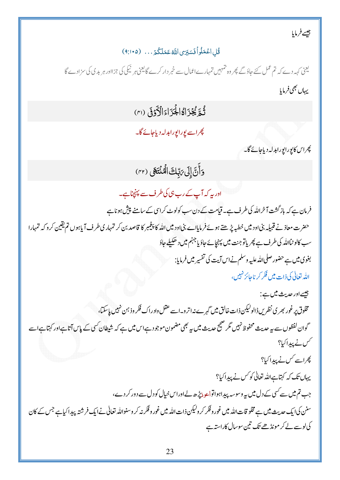جيسے فرمایا

### قُلِ اعْمَلُواْ فَسَبَرَى اللَّهُ عَمَلَكُمُ . . . (٩:١٠٥)

یعنی کہہ دے کہ تم عمل کئے جاؤگے پھر وہ تہمیں تمہارےاعمال سے خبر دار کرے گایعنی ہر نیکی کی جزااور ہر بد کی کی سزادے گا يهاں بھی فرمایا

ثُبةٍ يُجْزَاهُالْجُزَاءَالْأَدْفَى (٣١)

پھراسے یورایورابدلہ دیاجائے گا۔

چراس کایورایورابدلہ دیاجائے گا۔

وَأَنَّ إِلَى رَبَّكَ الْمُنْتَهَى (٣٢)

اور یہ کہ آپ کے رب، کی کرف سے پہنچناہے۔

فرمان ہے کہ بازگشت آخراللہ کی طرف ہے۔ قیامت کے دن سب کولوٹ کراسی کے سامنے پیش ہو ناہے حضرت معاذ نے قبیلہ بنیاود میں خطبہ پڑھتے ہوئے فرمایاہے بنیاود میں اللہ کا پنجمبر کا قاصد بن کر تمہاری طرف آیاہوں تم یقین کرو کہ تمہارا سب کالوٹیاﷲ کی طرف ہے پھر پاتو جنت میں پہنچائے جاؤ یا جہنم میں دھکیلے حاؤ بغوی میں ہے حضور صلی للڈ علیہ وسلم نےاس آیت کی تفسیر میں فرمایا: الله تعالى كى ذات ميں فكر كر ناجائز نہيں،

جيسےاور حديث ميں ہے: مخلوق پر غور بھر ی نظر س ڈالولیکن ذات خالق میں گہر ے نہ اتر و۔اسے عقل واد راک فکر وذ ہن نہیں پاسکتا، گوان لفظوں سے بہ حدیث محفوظ نہیں مگر صحیح حدیث میں یہ بھی مضمون موجود ہےاس میں ہے کہ شیطان کسی کے پاس آتاہےاور کہتاہےاسے گس نے پیداکیا؟ ں۔<br>پھراسے *کس نے پیدا*کیا؟ یہاں تک کہ کہتاہےاللہ تعالٰی کو کس نے پیدا کیا؟ جب تم میں سے کسی کے دل میں ہہ وسوسہ پیداہواتواعو ذیڑھ لےاوراس خیال کودل سے دور کر دے، سنن کیا یک حدیث میں ہے مخلو قات اللہ میں غور وفکر کر ولیکن ذات اللہ میں غور وفکر نہ کر وسنواللہ تعالٰی نے ایک فرشتہ پیدا کیاہے جس کے کان کی لوسے لے کر مونڈھے تک تین سوسال کاراستہ ہے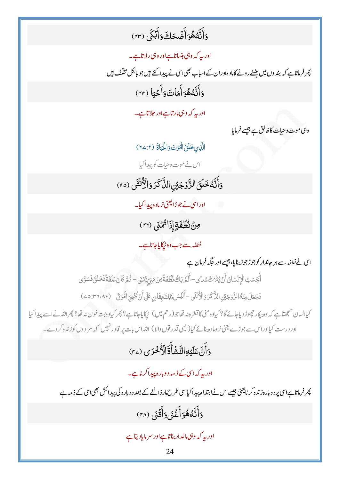# وَأَنَّهُهُوَأَضۡحَكَ وَأَبۡكَى (٣٣)

اور بہ کہ وہی ہنساتاہےاور وہی رلاتاہے۔ پھر فرماناہے کہ بند وں میں بیننے رونے کاماد ہاوران کے اساب بھی اسی نے پیدا کئے ہیں جو بالکل مختلف ہیں وَأَنَّهُ هُوَأَمَاتَ وَأَخْيَا (٣٢)

اور بہ کہ وہی**امار**تاہےاور حلاتاہے۔

وہی موت وحیات کاخالق ہے جیسے فرمایا

الَّذِي بَحَلَقَ الْمَوْتَ وَالْمَمَاةَ (٢٧/٢)

اس نے موت وحیات کو پیدا کی<u>ا</u>

وَأَنَّهُ خَلَقَ الزَّوۡجَيۡنِ الذَّكَرَ وَالْأُنۡثَى (٢٥)

اوراس<u>ی نے جوڑایعنی</u> نرمادہ پیدا کیا۔

ونُ نُطُفَةٍ إِذَا مُمْنَى (٣١)

نطفہ سے جب وہ ٹرکا پاجاتاہے۔

اسی نے نطفہ سے ہر جاندار کو جوڑ جوڑ بنایا، جیسے اور جگہ فرمان ہے

ٲۜڲؘڛٙٮؚ۠ٳٳڷٳڹؙۺٳڹٛٲؘڹٛؽ۠ڗؙڂٛۺڸٞؠ؊ٙٲؘڶڋێڮ۠ۯ۠ڟؙڣؘڐٞڡؚڽۘٛڡؘۑٞ؆ۣؽؠٞؽؘ؊ڂٞۄۜ؆ؘڹؘڡؘڶؘڦؘڐٞڡؘ۬ڂڶڹٙ؋ؘۺۊ<sub>ۜ</sub>ؠ

فَجَعَلَ مِنْهُ الزَّوْجَيْنِ الذَّكَرَ وَالْأُنْثَى - أَلَيْسَ زَلِكَ بِقَادِرٍ عَلَى أَنْ يُجْمِيَ الْمَوْتَى (٢٦،٨٠٤: ٤٥)

کیاانسان سمجھتاہے کہ وہ بیکار چھوڑ دیاجائے گا؟ کیاوہ منی کاقطرہ نہ تھاجو(رحم میں ) ٹرکا پاجاتاہے؟ پھر کیاوہ بستہ خون نہ تھا؟ پھراللہ نےاسے پیدا کیا اور درست کیااوراس سے جوڑے یعنی نرومادہ بنائے کیا(ایپی قدر توں والا ) اللہ اس بات پر قادر نہیں کہ مر دوں کوزندہ کردے۔

دَأَنَّ عَلَيۡهِ التَّشَأُّةَٓالۡأُخۡرَى (٢٤)

ادر یہ کہ اسی کے ذمہ د وبارہ پیدا کرناہے۔

پھر فرماناہات سی پر دو بار ہ زندہ کر نایعنی جیسے اس نے ابتداء پیدا کیااسی طرح مار ڈالنے کے بعد د و بار ہ کی پیدائش بھی اسی کے ذمہ ہے وَأَنَّهُهُوَأَغْنَى وَأَقَٰىَ (٣٨)

اور بہ کہ وہی مالدار بناتا ہے اور سر مایادیتا ہے

24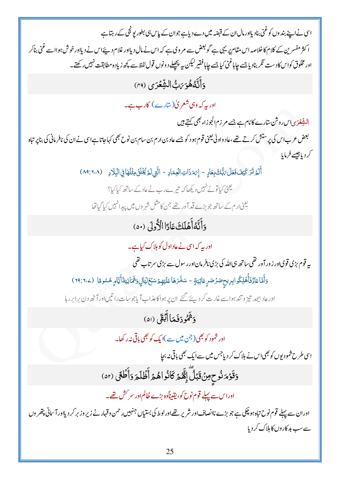اس نےاپنے بند وں کو غنی بناد یلاور مال ان کے قبضہ میں دے دیاہے جوان کے پاس ہی بطور پو ٹجی کے رہتا ہے ا کثر مفسر 'ن کے کلام کاخلاصہ اس مقام پر یہی ہے گو بعض سے مر وی ہے کہ اس نے مال دیااور غلام دیئےاس نے دیااور خوش ہوااسے غنی بناکر اور مخلوق کواس کادست نگر بنادیا جسے چاہاغنی کیا جسے چاہافقیر لیکن ہے پیچھلے دونوں قول لفظ سے پچھ زیادہ مطابقت نہیں رکھتے۔ دَأَنَّهُ هُوَ رَبُّ الشِّعْرَى (٢٩) اور بہ کہ وہی شعر پیٰ(سارے) کارب ہے۔ التِّبِعُوَى اس روشْن سارے كانام ہے جسے مر زم الجوزاء بھی كہتے ہيں بعض عرب اس کی پرستش کرتے تھے،عاد واولی یعنی قوم ہود کو جسے عاد بن ارم بن سام بن نوح بھی کہاجاتا ہےاس نے ان کی نافر مانی کی بناپر تباہ كردياجيسے فرمايا أَلَمْ تَرَ كَيْفَ فَعَلَ رَبُّكَ بِعَادٍ - إِرَهَ ذَاتِ الْعِمَادِ - الَّتِي لَمَ يُُّلُّلُ مِثْلُهَا فِي الْبِلَادِ (١٠٨:١٠٨) کے باتی کیاتونے نہیں دیکھا کہ تی<sub>ں</sub>ے رب نے عاد کے ساتھ کیا کیا؟ یعنی <sub>ار</sub>م کے ساتھ جو بڑے قد آور تھے جن کامثل شہر وں میں پیدائنہیں کیا گیاتھا وَأَنَّهُ أَهۡلَكَ عَادًا الْأُولَى (٥٠) اور یہ کہ اسی نے عاداول کو ہلاک کیاہے۔ پہ قوم بڑی قویااور زور آور تھی۔ساتھ ہی اللہ کی بڑی نافر مان اور رسول سے بڑی سر تاب تھی وَأَمَّاعَادٌّفَأُّهۡلِكُوابِرِيحٖصَرۡصَرٍ عَاتِيَةٍ - سَخَّرَهَاعَلَيۡهِمۡسَبۡمَٓلَيَالٍۥ ۖ فَمَانِيَةَأَيَّامِ حُسُوهًا (٢٩:٦٠٤) اورعاد بیچد تیز و تند ہواسے غارت کر دیئے گئے ان پر ہواکاعذاب آباجوسات را تیں اور آٹھ دن برابر رہا وَثَمُودَفَعَاأَبُقَى (۵۱) اور شمود کو بھی(جن میں سے )ایک کو بھی پاقی نیرر کھا۔ اسی طرح شمودیوں کو بھی <sub>اس</sub> نے ہلاک کر دیاجس میں سے ایک بھی باقی نہ بج<u>ا</u> وَقَوْمَ ثُوحٍ مِنْ قَبَلَّ إِنَّهُمْ كَانُواهُمْ أَظُلَمَ وَأَطَٰقَى (٥٢) اوراس سے پہلے قوم نوح کو، یقیناًوہ بڑے ظالم اور سر کش تھے۔ اوران سے پہلے قوم نوح تباہ ہو چکی ہے جو بڑے ناانصاف اور شریر تھےاور لوط کی بستیاں جنہیں رحمن وقہار نے زیر وزبر کر دیلاور آ سانی پتھر وں سےسب بد کاروں کا ہلاک کردیا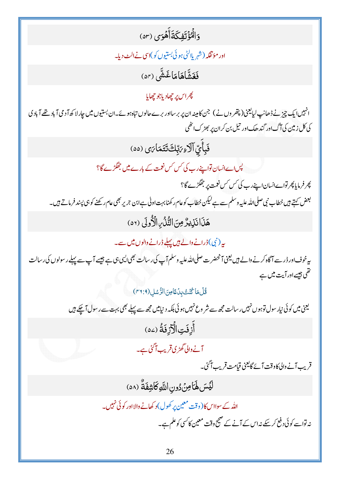وَالْمُؤْتَفِكَةَأَهُوَى (ar)

اور مؤتڤکہ (شہر پااٹی ہوئی بستیوں کو)اسی نےالٹ دیا۔

فَغَشَّاهَامَاغَثْثَى (٥٢)

پھراس پر چھادياجو چھايا

انہیں ایک چیز نے ڈھانپ لیایعن(پتھر وں نے) جن کامینہ ان پر برسااور برے حالوں تباہ ہوئے۔ان بستیوں میں چار لا کھ آدمی آباد تھے آبادی کی کل زمین کی آگ اور گند ھک اور تیل بن کران پر بھڑ ک اٹھی

فَبِأَيِّ آلَاءِ بَرِّبِكَ تَتَمَارَى (۵۵)

یس اے انسان تواپنے رب کی *کس کس نعم*ت کے بارے میں جھگڑے گا؟

پھر فرمایا پھر تواےانسان اپنے رب کی *کس کس نعمت پر جھگڑے گ*ا؟ بعض کہتے ہیں خطاب نبی صلی اللہ علیہ وسلم سے ہے لیکن خطاب کوعام ر کھنا بہت اولی ہے ابن جریر بھی عام رکھنے کو ہی پسند فرماتے ہیں۔ هَذَانَذِيرٌ مِنَ التَّذُّبِ الْأُولَى (٥٢)

یہ (نبی) ڈرانے والے ہیں پہلے ڈرانے والوں میں سے۔

یہ خوف اور ڈر سے آگاہ کرنے والے <del>ہ</del>یں یعنی آنحضرت صلی <sub>اللّٰہ</sub> علیہ وسلم آپ کی رسالت بھی ایسی ہی جیسے آپ سے پہلے رسولوں کی رسالت تھی جیسےاور آیت میں ہے

قُلُ مَا كُنْتُ بِدُعًا مِنَ الرُّسُل (٢٦:٩)

یعنی میں کوئی نیار سول توہوں نہیں رسالت مجھ سے شر و*ع نہی*ں ہوئی بلکہ دینامیں مجھ سے پہلے بھی بہت سے رسول آچکے ہیں أَزِفَتِ الْأَزِفَةُ (٥٤

آنے والی گھڑی قریب آگئی ہے۔

قریب آنے والی کاوقت آئے گایعنی قیامت قریب آگئ۔

لَيۡسَ لَهَاٰمِنۡ دُونِ اللَّهِ كَاشِفَةٌ (٥٨)

اللہ کے سوااس کا(وقت معین پر کھول)د کھانے والااور کو ئی نہیں۔ نہ تواسے کوئی دفع کر سکے نہ اس کے آنے کے صحیح وقت معین کا کسی کوعلم ہے۔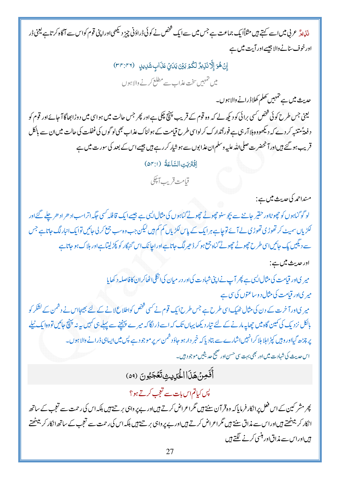<sub>ن</sub>ئ<sub>یٰ</sub>یڈ عربی میں اسے کہتے ہیں مثلاًا یک جماعت ہے جس میں سےایک تتخص نے کوئی ڈراؤنی چیز دیکھی اوراپنی قوم کواس سے آگاہ کرتاہے یعنی ڈر اور خوف سنانے والا جیسے اور آیت میں ہے

> إِنْ هُوَ إِلَّا نَزِيرٌ لَكُمْ بَيْنَ يَدَيِّ عَذَابٍ شَرِيدٍ (٣٣:٣٢) میں تہہیں سخت عذاب سے مطلع کرنے والاہوں

> > حدیث میں ہے تہہیں تھلم کھلاڈرانے والاہوں۔

یعنی جس طرح کوئی شخص *کسی بر*ائی کو دیکھ لے کہ وہ قوم کے قریب پینچ چکی ہے اور پھر جس حالت میں ہواسی میں دوڑا بھاگا آجائےاور قوم کو دفعۃٔ متننہ کر دے کہ دیکھووہ ہلاآر ہی ہے فوراًتدارک کرلواسی طرح قیامت کے ہولناک عذاب بھی لو گوں کی غفلت کی حالت میں ان سے بالکل قریب ہو گئے ہیںاور آنحضرت صلی اللہ علیہ وسلم ان عذابوں سے ہو شیار کررہے ہیں جیسے اس کے بعد کی سورت میں ہے

اِقَتَرَبَتِ السَّاعَةُ (٥٣:١)

قبامت قريب آپجكي

مسنداحمہ کی حدیث میں ہے:

لو گوگناہوں کو چھوٹااور حقیر جاننے سے بچو سنو چھوٹے چھوٹے گناہوں کی مثال ایپی ہے جیسے ایک قافلہ کسی جگہ اتراسب اد حر اد حر چلے گئے اور لکڑیاں سمیٹ کر تھوڑی تھوڑی لے آئے توجاہے ہرایک کے پاس لکڑیاں کم کم ہیں لیکن جب وہ سب جمع کر لی جائیں توایک انبارلگ جاتاہے جس سے دیکیں یک جائیںا سی طرح حچوٹے حچوٹے گناہ جمع ہو کر ڈ حیر لگ جاتا ہےاور اجانک اس گنہگار کو پکڑلیتاہےاور ہلاک ہو جاتاہے

اور حديث ميں ہے:

میر کیاور قیامت کی مثال ایسی ہے پھر آپ نے اپنی شہادت کی اور در میان کی انگلی اٹھاکر ان کافاصلہ د کھایا میر یااور قیامت کی مثال د وساعتوں کی سی ہے میر کیاور آخرت کے دن کی مثال ٹھیک اسی طرح ہے جس طرح ایک قوم نے کسی شخص کواطلاع لانے کے لئے بھیجاس نے دشمن کے لشکر کو

بالکل نزد یک کی کمین گاہ میں چھاپہ مارنے کے لئے تیار دیکھا یہاں تک کہ اسے ڈراگا کہ میرے پہنچنے سے پہلے ہی کہیں ہہ پنچ جائیں تووہا یک ٹیلے یر چڑھ گیااور وہیں کپڑ اہلا ہلاکرانہیںاشارے سے بتادیا کہ خبر دار ہو جاؤد شمن سر پر موجود ہے پس میں ایساہی ڈرانے والاہوں۔ اس حدیث کی شہاد ت میں اور بھی بہت سی حسن اور صحیح حدیثیں موجو دہیں۔

أَفَمِنْهَذَا الْحَرِيثِ تَعَجَبُونَ (٥٩)

پس کیاتم اس بات سے تعجب کرتے ہو؟

پھر مشر کین کےاس قعل پرانکار فرمایا کہ وہ قرآن سنتے ہیں مگراعراض کرتے ہیںاور بے پر واہی بر تے ہیں بلکہ اس کی رحمت سے تعجب کے ساتھ انکار کر ببیٹھتے ہیںاوراس سے مذاق سنتے ہیں گراعراض کرتے ہیںاور بے پر داہی بر تے ہیں بلکہ اس کی رحمت سے تعجب کے ساتھ انکار کر ببیٹھتے ہیںادراس سے مذاق اور منسی کرنے لگتے ہیں